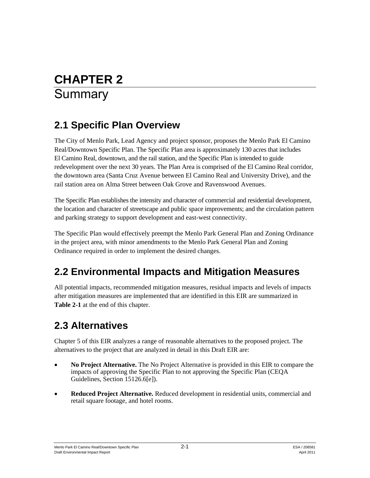# **CHAPTER 2 Summary**

# **2.1 Specific Plan Overview**

The City of Menlo Park, Lead Agency and project sponsor, proposes the Menlo Park El Camino Real/Downtown Specific Plan. The Specific Plan area is approximately 130 acres that includes El Camino Real, downtown, and the rail station, and the Specific Plan is intended to guide redevelopment over the next 30 years. The Plan Area is comprised of the El Camino Real corridor, the downtown area (Santa Cruz Avenue between El Camino Real and University Drive), and the rail station area on Alma Street between Oak Grove and Ravenswood Avenues.

The Specific Plan establishes the intensity and character of commercial and residential development, the location and character of streetscape and public space improvements; and the circulation pattern and parking strategy to support development and east-west connectivity.

The Specific Plan would effectively preempt the Menlo Park General Plan and Zoning Ordinance in the project area, with minor amendments to the Menlo Park General Plan and Zoning Ordinance required in order to implement the desired changes.

# **2.2 Environmental Impacts and Mitigation Measures**

All potential impacts, recommended mitigation measures, residual impacts and levels of impacts after mitigation measures are implemented that are identified in this EIR are summarized in **Table 2-1** at the end of this chapter.

# **2.3 Alternatives**

Chapter 5 of this EIR analyzes a range of reasonable alternatives to the proposed project. The alternatives to the project that are analyzed in detail in this Draft EIR are:

- **No Project Alternative.** The No Project Alternative is provided in this EIR to compare the impacts of approving the Specific Plan to not approving the Specific Plan (CEQA Guidelines, Section 15126.6[e]).
- **Reduced Project Alternative.** Reduced development in residential units, commercial and retail square footage, and hotel rooms.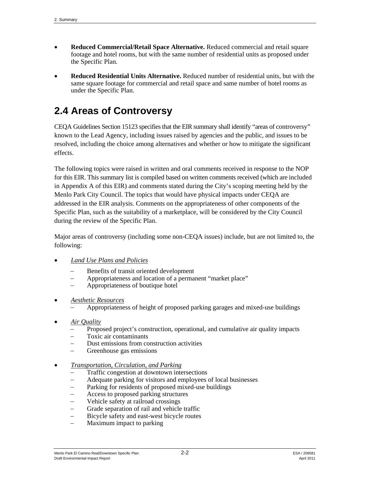- **Reduced Commercial/Retail Space Alternative.** Reduced commercial and retail square footage and hotel rooms, but with the same number of residential units as proposed under the Specific Plan.
- **Reduced Residential Units Alternative.** Reduced number of residential units, but with the same square footage for commercial and retail space and same number of hotel rooms as under the Specific Plan.

# **2.4 Areas of Controversy**

CEQA Guidelines Section 15123 specifies that the EIR summary shall identify "areas of controversy" known to the Lead Agency, including issues raised by agencies and the public, and issues to be resolved, including the choice among alternatives and whether or how to mitigate the significant effects.

The following topics were raised in written and oral comments received in response to the NOP for this EIR. This summary list is compiled based on written comments received (which are included in Appendix A of this EIR) and comments stated during the City's scoping meeting held by the Menlo Park City Council. The topics that would have physical impacts under CEQA are addressed in the EIR analysis. Comments on the appropriateness of other components of the Specific Plan, such as the suitability of a marketplace, will be considered by the City Council during the review of the Specific Plan.

Major areas of controversy (including some non-CEQA issues) include, but are not limited to, the following:

- *Land Use Plans and Policies*
	- Benefits of transit oriented development
	- Appropriateness and location of a permanent "market place"
	- Appropriateness of boutique hotel
- *Aesthetic Resources*
	- Appropriateness of height of proposed parking garages and mixed-use buildings
- *Air Quality*
	- Proposed project's construction, operational, and cumulative air quality impacts
	- Toxic air contaminants
	- Dust emissions from construction activities
	- Greenhouse gas emissions
- *Transportation, Circulation, and Parking*
	- Traffic congestion at downtown intersections
	- Adequate parking for visitors and employees of local businesses
	- Parking for residents of proposed mixed-use buildings
	- Access to proposed parking structures
	- Vehicle safety at railroad crossings
	- Grade separation of rail and vehicle traffic
	- Bicycle safety and east-west bicycle routes
	- Maximum impact to parking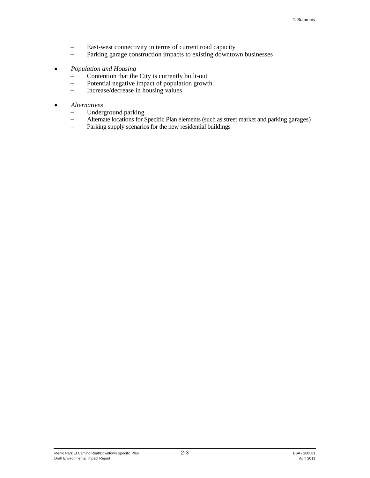- East-west connectivity in terms of current road capacity
- Parking garage construction impacts to existing downtown businesses
- *Population and Housing*
	- Contention that the City is currently built-out
	- Potential negative impact of population growth
	- $\overline{ }$  Increase/decrease in housing values

# *Alternatives*

- Underground parking
- Alternate locations for Specific Plan elements (such as street market and parking garages)
- Parking supply scenarios for the new residential buildings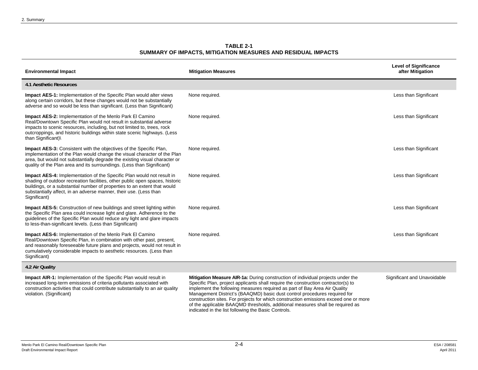**TABLE 2-1 SUMMARY OF IMPACTS, MITIGATION MEASURES AND RESIDUAL IMPACTS** 

| <b>Environmental Impact</b>                                                                                                                                                                                                                                                                                                   | <b>Mitigation Measures</b>                                                                                                                                                                                                                                                                                                     | <b>Level of Significance</b><br>after Mitigation |
|-------------------------------------------------------------------------------------------------------------------------------------------------------------------------------------------------------------------------------------------------------------------------------------------------------------------------------|--------------------------------------------------------------------------------------------------------------------------------------------------------------------------------------------------------------------------------------------------------------------------------------------------------------------------------|--------------------------------------------------|
| <b>4.1 Aesthetic Resources</b>                                                                                                                                                                                                                                                                                                |                                                                                                                                                                                                                                                                                                                                |                                                  |
| <b>Impact AES-1:</b> Implementation of the Specific Plan would alter views<br>along certain corridors, but these changes would not be substantially<br>adverse and so would be less than significant. (Less than Significant)                                                                                                 | None required.                                                                                                                                                                                                                                                                                                                 | Less than Significant                            |
| <b>Impact AES-2: Implementation of the Menlo Park El Camino</b><br>Real/Downtown Specific Plan would not result in substantial adverse<br>impacts to scenic resources, including, but not limited to, trees, rock<br>outcroppings, and historic buildings within state scenic highways. (Less<br>than Significant)            | None required.                                                                                                                                                                                                                                                                                                                 | Less than Significant                            |
| <b>Impact AES-3:</b> Consistent with the objectives of the Specific Plan,<br>implementation of the Plan would change the visual character of the Plan<br>area, but would not substantially degrade the existing visual character or<br>quality of the Plan area and its surroundings. (Less than Significant)                 | None required.                                                                                                                                                                                                                                                                                                                 | Less than Significant                            |
| <b>Impact AES-4:</b> Implementation of the Specific Plan would not result in<br>shading of outdoor recreation facilities, other public open spaces, historic<br>buildings, or a substantial number of properties to an extent that would<br>substantially affect, in an adverse manner, their use. (Less than<br>Significant) | None required.                                                                                                                                                                                                                                                                                                                 | Less than Significant                            |
| <b>Impact AES-5:</b> Construction of new buildings and street lighting within<br>the Specific Plan area could increase light and glare. Adherence to the<br>guidelines of the Specific Plan would reduce any light and glare impacts<br>to less-than-significant levels. (Less than Significant)                              | None required.                                                                                                                                                                                                                                                                                                                 | Less than Significant                            |
| <b>Impact AES-6:</b> Implementation of the Menlo Park El Camino<br>Real/Downtown Specific Plan, in combination with other past, present,<br>and reasonably foreseeable future plans and projects, would not result in<br>cumulatively considerable impacts to aesthetic resources. (Less than<br>Significant)                 | None required.                                                                                                                                                                                                                                                                                                                 | Less than Significant                            |
| 4.2 Air Quality                                                                                                                                                                                                                                                                                                               |                                                                                                                                                                                                                                                                                                                                |                                                  |
| <b>Impact AIR-1:</b> Implementation of the Specific Plan would result in<br>increased long-term emissions of criteria pollutants associated with<br>construction activities that could contribute substantially to an air quality<br>violation. (Significant)                                                                 | Mitigation Measure AIR-1a: During construction of individual projects under the<br>Specific Plan, project applicants shall require the construction contractor(s) to<br>implement the following measures required as part of Bay Area Air Quality<br>Management District's (BAAQMD) basic dust control procedures required for | Significant and Unavoidable                      |

indicated in the list following the Basic Controls.

construction sites. For projects for which construction emissions exceed one or more of the applicable BAAQMD thresholds, additional measures shall be required as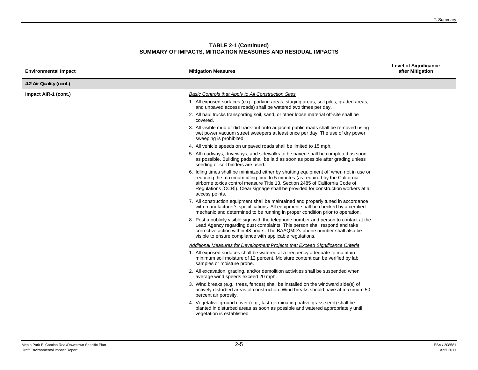| <b>Environmental Impact</b> | <b>Mitigation Measures</b>                                                                                                                                                                                                                                                                                                                                      | <b>Level of Significance</b><br>after Mitigation |
|-----------------------------|-----------------------------------------------------------------------------------------------------------------------------------------------------------------------------------------------------------------------------------------------------------------------------------------------------------------------------------------------------------------|--------------------------------------------------|
| 4.2 Air Quality (cont.)     |                                                                                                                                                                                                                                                                                                                                                                 |                                                  |
| Impact AIR-1 (cont.)        | Basic Controls that Apply to All Construction Sites                                                                                                                                                                                                                                                                                                             |                                                  |
|                             | 1. All exposed surfaces (e.g., parking areas, staging areas, soil piles, graded areas,<br>and unpaved access roads) shall be watered two times per day.                                                                                                                                                                                                         |                                                  |
|                             | 2. All haul trucks transporting soil, sand, or other loose material off-site shall be<br>covered.                                                                                                                                                                                                                                                               |                                                  |
|                             | 3. All visible mud or dirt track-out onto adjacent public roads shall be removed using<br>wet power vacuum street sweepers at least once per day. The use of dry power<br>sweeping is prohibited.                                                                                                                                                               |                                                  |
|                             | 4. All vehicle speeds on unpaved roads shall be limited to 15 mph.                                                                                                                                                                                                                                                                                              |                                                  |
|                             | 5. All roadways, driveways, and sidewalks to be paved shall be completed as soon<br>as possible. Building pads shall be laid as soon as possible after grading unless<br>seeding or soil binders are used.                                                                                                                                                      |                                                  |
|                             | 6. Idling times shall be minimized either by shutting equipment off when not in use or<br>reducing the maximum idling time to 5 minutes (as required by the California<br>airborne toxics control measure Title 13, Section 2485 of California Code of<br>Regulations [CCR]). Clear signage shall be provided for construction workers at all<br>access points. |                                                  |
|                             | 7. All construction equipment shall be maintained and properly tuned in accordance<br>with manufacturer's specifications. All equipment shall be checked by a certified<br>mechanic and determined to be running in proper condition prior to operation.                                                                                                        |                                                  |
|                             | 8. Post a publicly visible sign with the telephone number and person to contact at the<br>Lead Agency regarding dust complaints. This person shall respond and take<br>corrective action within 48 hours. The BAAQMD's phone number shall also be<br>visible to ensure compliance with applicable regulations.                                                  |                                                  |
|                             | Additional Measures for Development Projects that Exceed Significance Criteria                                                                                                                                                                                                                                                                                  |                                                  |
|                             | 1. All exposed surfaces shall be watered at a frequency adequate to maintain<br>minimum soil moisture of 12 percent. Moisture content can be verified by lab<br>samples or moisture probe.                                                                                                                                                                      |                                                  |
|                             | 2. All excavation, grading, and/or demolition activities shall be suspended when<br>average wind speeds exceed 20 mph.                                                                                                                                                                                                                                          |                                                  |
|                             | 3. Wind breaks (e.g., trees, fences) shall be installed on the windward side(s) of<br>actively disturbed areas of construction. Wind breaks should have at maximum 50<br>percent air porosity.                                                                                                                                                                  |                                                  |
|                             | 4. Vegetative ground cover (e.g., fast-germinating native grass seed) shall be<br>planted in disturbed areas as soon as possible and watered appropriately until<br>vegetation is established.                                                                                                                                                                  |                                                  |
|                             |                                                                                                                                                                                                                                                                                                                                                                 |                                                  |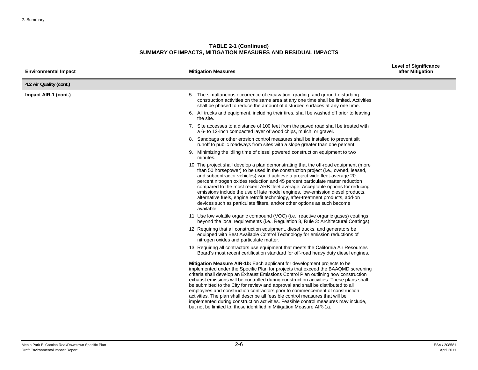| <b>TABLE 2-1 (Continued)</b>                                 |
|--------------------------------------------------------------|
| SUMMARY OF IMPACTS, MITIGATION MEASURES AND RESIDUAL IMPACTS |

| <b>Environmental Impact</b> | <b>Mitigation Measures</b>                                                                                                                                                                                                                                                                                                                                                                                                                                                                                                                                                                                                                                                                                                                                                 | <b>Level of Significance</b><br>after Mitigation |
|-----------------------------|----------------------------------------------------------------------------------------------------------------------------------------------------------------------------------------------------------------------------------------------------------------------------------------------------------------------------------------------------------------------------------------------------------------------------------------------------------------------------------------------------------------------------------------------------------------------------------------------------------------------------------------------------------------------------------------------------------------------------------------------------------------------------|--------------------------------------------------|
| 4.2 Air Quality (cont.)     |                                                                                                                                                                                                                                                                                                                                                                                                                                                                                                                                                                                                                                                                                                                                                                            |                                                  |
| Impact AIR-1 (cont.)        | 5. The simultaneous occurrence of excavation, grading, and ground-disturbing<br>construction activities on the same area at any one time shall be limited. Activities<br>shall be phased to reduce the amount of disturbed surfaces at any one time.                                                                                                                                                                                                                                                                                                                                                                                                                                                                                                                       |                                                  |
|                             | 6. All trucks and equipment, including their tires, shall be washed off prior to leaving<br>the site.                                                                                                                                                                                                                                                                                                                                                                                                                                                                                                                                                                                                                                                                      |                                                  |
|                             | 7. Site accesses to a distance of 100 feet from the paved road shall be treated with<br>a 6- to 12-inch compacted layer of wood chips, mulch, or gravel.                                                                                                                                                                                                                                                                                                                                                                                                                                                                                                                                                                                                                   |                                                  |
|                             | 8. Sandbags or other erosion control measures shall be installed to prevent silt<br>runoff to public roadways from sites with a slope greater than one percent.                                                                                                                                                                                                                                                                                                                                                                                                                                                                                                                                                                                                            |                                                  |
|                             | 9. Minimizing the idling time of diesel powered construction equipment to two<br>minutes.                                                                                                                                                                                                                                                                                                                                                                                                                                                                                                                                                                                                                                                                                  |                                                  |
|                             | 10. The project shall develop a plan demonstrating that the off-road equipment (more<br>than 50 horsepower) to be used in the construction project (i.e., owned, leased,<br>and subcontractor vehicles) would achieve a project wide fleet-average 20<br>percent nitrogen oxides reduction and 45 percent particulate matter reduction<br>compared to the most recent ARB fleet average. Acceptable options for reducing<br>emissions include the use of late model engines, low-emission diesel products,<br>alternative fuels, engine retrofit technology, after-treatment products, add-on<br>devices such as particulate filters, and/or other options as such become<br>available.                                                                                    |                                                  |
|                             | 11. Use low volatile organic compound (VOC) (i.e., reactive organic gases) coatings<br>beyond the local requirements (i.e., Regulation 8, Rule 3: Architectural Coatings).                                                                                                                                                                                                                                                                                                                                                                                                                                                                                                                                                                                                 |                                                  |
|                             | 12. Requiring that all construction equipment, diesel trucks, and generators be<br>equipped with Best Available Control Technology for emission reductions of<br>nitrogen oxides and particulate matter.                                                                                                                                                                                                                                                                                                                                                                                                                                                                                                                                                                   |                                                  |
|                             | 13. Requiring all contractors use equipment that meets the California Air Resources<br>Board's most recent certification standard for off-road heavy duty diesel engines.                                                                                                                                                                                                                                                                                                                                                                                                                                                                                                                                                                                                  |                                                  |
|                             | <b>Mitigation Measure AIR-1b:</b> Each applicant for development projects to be<br>implemented under the Specific Plan for projects that exceed the BAAQMD screening<br>criteria shall develop an Exhaust Emissions Control Plan outlining how construction<br>exhaust emissions will be controlled during construction activities. These plans shall<br>be submitted to the City for review and approval and shall be distributed to all<br>employees and construction contractors prior to commencement of construction<br>activities. The plan shall describe all feasible control measures that will be<br>implemented during construction activities. Feasible control measures may include,<br>but not be limited to, those identified in Mitigation Measure AIR-1a. |                                                  |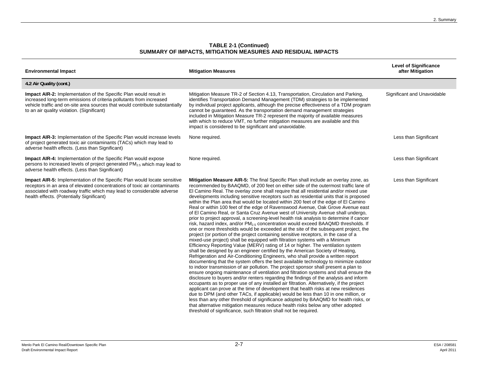| <b>Environmental Impact</b>                                                                                                                                                                                                                                                   | <b>Mitigation Measures</b>                                                                                                                                                                                                                                                                                                                                                                                                                                                                                                                                                                                                                                                                                                                                                                                                                                                                                                                                                                                                                                                                                                                                                                                                                                                                                                                                                                                                                                                                                                                                                                                                                                                                                                                                                                                                                                                                                                                                                                                                                                                                                                                                                                                                                | <b>Level of Significance</b><br>after Mitigation |
|-------------------------------------------------------------------------------------------------------------------------------------------------------------------------------------------------------------------------------------------------------------------------------|-------------------------------------------------------------------------------------------------------------------------------------------------------------------------------------------------------------------------------------------------------------------------------------------------------------------------------------------------------------------------------------------------------------------------------------------------------------------------------------------------------------------------------------------------------------------------------------------------------------------------------------------------------------------------------------------------------------------------------------------------------------------------------------------------------------------------------------------------------------------------------------------------------------------------------------------------------------------------------------------------------------------------------------------------------------------------------------------------------------------------------------------------------------------------------------------------------------------------------------------------------------------------------------------------------------------------------------------------------------------------------------------------------------------------------------------------------------------------------------------------------------------------------------------------------------------------------------------------------------------------------------------------------------------------------------------------------------------------------------------------------------------------------------------------------------------------------------------------------------------------------------------------------------------------------------------------------------------------------------------------------------------------------------------------------------------------------------------------------------------------------------------------------------------------------------------------------------------------------------------|--------------------------------------------------|
| 4.2 Air Quality (cont.)                                                                                                                                                                                                                                                       |                                                                                                                                                                                                                                                                                                                                                                                                                                                                                                                                                                                                                                                                                                                                                                                                                                                                                                                                                                                                                                                                                                                                                                                                                                                                                                                                                                                                                                                                                                                                                                                                                                                                                                                                                                                                                                                                                                                                                                                                                                                                                                                                                                                                                                           |                                                  |
| <b>Impact AIR-2:</b> Implementation of the Specific Plan would result in<br>increased long-term emissions of criteria pollutants from increased<br>vehicle traffic and on-site area sources that would contribute substantially<br>to an air quality violation. (Significant) | Mitigation Measure TR-2 of Section 4.13, Transportation, Circulation and Parking,<br>identifies Transportation Demand Management (TDM) strategies to be implemented<br>by individual project applicants, although the precise effectiveness of a TDM program<br>cannot be guaranteed. As the transportation demand management strategies<br>included in Mitigation Measure TR-2 represent the majority of available measures<br>with which to reduce VMT, no further mitigation measures are available and this<br>impact is considered to be significant and unavoidable.                                                                                                                                                                                                                                                                                                                                                                                                                                                                                                                                                                                                                                                                                                                                                                                                                                                                                                                                                                                                                                                                                                                                                                                                                                                                                                                                                                                                                                                                                                                                                                                                                                                                | Significant and Unavoidable                      |
| <b>Impact AIR-3:</b> Implementation of the Specific Plan would increase levels<br>of project generated toxic air contaminants (TACs) which may lead to<br>adverse health effects. (Less than Significant)                                                                     | None required.                                                                                                                                                                                                                                                                                                                                                                                                                                                                                                                                                                                                                                                                                                                                                                                                                                                                                                                                                                                                                                                                                                                                                                                                                                                                                                                                                                                                                                                                                                                                                                                                                                                                                                                                                                                                                                                                                                                                                                                                                                                                                                                                                                                                                            | Less than Significant                            |
| Impact AIR-4: Implementation of the Specific Plan would expose<br>persons to increased levels of project generated PM <sub>2.5</sub> which may lead to<br>adverse health effects. (Less than Significant)                                                                     | None required.                                                                                                                                                                                                                                                                                                                                                                                                                                                                                                                                                                                                                                                                                                                                                                                                                                                                                                                                                                                                                                                                                                                                                                                                                                                                                                                                                                                                                                                                                                                                                                                                                                                                                                                                                                                                                                                                                                                                                                                                                                                                                                                                                                                                                            | Less than Significant                            |
| Impact AIR-5: Implementation of the Specific Plan would locate sensitive<br>receptors in an area of elevated concentrations of toxic air contaminants<br>associated with roadway traffic which may lead to considerable adverse<br>health effects. (Potentially Significant)  | Mitigation Measure AIR-5: The final Specific Plan shall include an overlay zone, as<br>recommended by BAAQMD, of 200 feet on either side of the outermost traffic lane of<br>El Camino Real. The overlay zone shall require that all residential and/or mixed use<br>developments including sensitive receptors such as residential units that is proposed<br>within the Plan area that would be located within 200 feet of the edge of El Camino<br>Real or within 100 feet of the edge of Ravenswood Avenue, Oak Grove Avenue east<br>of El Camino Real, or Santa Cruz Avenue west of University Avenue shall undergo,<br>prior to project approval, a screening-level health risk analysis to determine if cancer<br>risk, hazard index, and/or PM <sub>2.5</sub> concentration would exceed BAAQMD thresholds. If<br>one or more thresholds would be exceeded at the site of the subsequent project, the<br>project (or portion of the project containing sensitive receptors, in the case of a<br>mixed-use project) shall be equipped with filtration systems with a Minimum<br>Efficiency Reporting Value (MERV) rating of 14 or higher. The ventilation system<br>shall be designed by an engineer certified by the American Society of Heating,<br>Refrigeration and Air-Conditioning Engineers, who shall provide a written report<br>documenting that the system offers the best available technology to minimize outdoor<br>to indoor transmission of air pollution. The project sponsor shall present a plan to<br>ensure ongoing maintenance of ventilation and filtration systems and shall ensure the<br>disclosure to buyers and/or renters regarding the findings of the analysis and inform<br>occupants as to proper use of any installed air filtration. Alternatively, if the project<br>applicant can prove at the time of development that health risks at new residences<br>due to DPM (and other TACs, if applicable) would be less than 10 in one million, or<br>less than any other threshold of significance adopted by BAAQMD for health risks, or<br>that alternative mitigation measures reduce health risks below any other adopted<br>threshold of significance, such filtration shall not be required. | Less than Significant                            |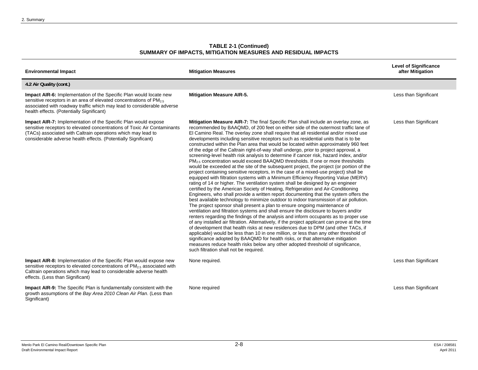| <b>Environmental Impact</b>                                                                                                                                                                                                                                                  | <b>Mitigation Measures</b>                                                                                                                                                                                                                                                                                                                                                                                                                                                                                                                                                                                                                                                                                                                                                                                                                                                                                                                                                                                                                                                                                                                                                                                                                                                                                                                                                                                                                                                                                                                                                                                                                                                                                                                                                                                                                                                                                                                                                                                                                                                                                                  | <b>Level of Significance</b><br>after Mitigation |
|------------------------------------------------------------------------------------------------------------------------------------------------------------------------------------------------------------------------------------------------------------------------------|-----------------------------------------------------------------------------------------------------------------------------------------------------------------------------------------------------------------------------------------------------------------------------------------------------------------------------------------------------------------------------------------------------------------------------------------------------------------------------------------------------------------------------------------------------------------------------------------------------------------------------------------------------------------------------------------------------------------------------------------------------------------------------------------------------------------------------------------------------------------------------------------------------------------------------------------------------------------------------------------------------------------------------------------------------------------------------------------------------------------------------------------------------------------------------------------------------------------------------------------------------------------------------------------------------------------------------------------------------------------------------------------------------------------------------------------------------------------------------------------------------------------------------------------------------------------------------------------------------------------------------------------------------------------------------------------------------------------------------------------------------------------------------------------------------------------------------------------------------------------------------------------------------------------------------------------------------------------------------------------------------------------------------------------------------------------------------------------------------------------------------|--------------------------------------------------|
| 4.2 Air Quality (cont.)                                                                                                                                                                                                                                                      |                                                                                                                                                                                                                                                                                                                                                                                                                                                                                                                                                                                                                                                                                                                                                                                                                                                                                                                                                                                                                                                                                                                                                                                                                                                                                                                                                                                                                                                                                                                                                                                                                                                                                                                                                                                                                                                                                                                                                                                                                                                                                                                             |                                                  |
| <b>Impact AIR-6:</b> Implementation of the Specific Plan would locate new<br>sensitive receptors in an area of elevated concentrations of $PM_{2.5}$<br>associated with roadway traffic which may lead to considerable adverse<br>health effects. (Potentially Significant)  | <b>Mitigation Measure AIR-5.</b>                                                                                                                                                                                                                                                                                                                                                                                                                                                                                                                                                                                                                                                                                                                                                                                                                                                                                                                                                                                                                                                                                                                                                                                                                                                                                                                                                                                                                                                                                                                                                                                                                                                                                                                                                                                                                                                                                                                                                                                                                                                                                            | Less than Significant                            |
| Impact AIR-7: Implementation of the Specific Plan would expose<br>sensitive receptors to elevated concentrations of Toxic Air Contaminants<br>(TACs) associated with Caltrain operations which may lead to<br>considerable adverse health effects. (Potentially Significant) | Mitigation Measure AIR-7: The final Specific Plan shall include an overlay zone, as<br>recommended by BAAQMD, of 200 feet on either side of the outermost traffic lane of<br>El Camino Real. The overlay zone shall require that all residential and/or mixed use<br>developments including sensitive receptors such as residential units that is to be<br>constructed within the Plan area that would be located within approximately 960 feet<br>of the edge of the Caltrain right-of-way shall undergo, prior to project approval, a<br>screening-level health risk analysis to determine if cancer risk, hazard index, and/or<br>PM <sub>2.5</sub> concentration would exceed BAAQMD thresholds. If one or more thresholds<br>would be exceeded at the site of the subsequent project, the project (or portion of the<br>project containing sensitive receptors, in the case of a mixed-use project) shall be<br>equipped with filtration systems with a Minimum Efficiency Reporting Value (MERV)<br>rating of 14 or higher. The ventilation system shall be designed by an engineer<br>certified by the American Society of Heating, Refrigeration and Air-Conditioning<br>Engineers, who shall provide a written report documenting that the system offers the<br>best available technology to minimize outdoor to indoor transmission of air pollution.<br>The project sponsor shall present a plan to ensure ongoing maintenance of<br>ventilation and filtration systems and shall ensure the disclosure to buyers and/or<br>renters regarding the findings of the analysis and inform occupants as to proper use<br>of any installed air filtration. Alternatively, if the project applicant can prove at the time<br>of development that health risks at new residences due to DPM (and other TACs, if<br>applicable) would be less than 10 in one million, or less than any other threshold of<br>significance adopted by BAAQMD for health risks, or that alternative mitigation<br>measures reduce health risks below any other adopted threshold of significance,<br>such filtration shall not be required. | Less than Significant                            |
| <b>Impact AIR-8:</b> Implementation of the Specific Plan would expose new<br>sensitive receptors to elevated concentrations of $PM2.5$ associated with<br>Caltrain operations which may lead to considerable adverse health<br>effects. (Less than Significant)              | None required.                                                                                                                                                                                                                                                                                                                                                                                                                                                                                                                                                                                                                                                                                                                                                                                                                                                                                                                                                                                                                                                                                                                                                                                                                                                                                                                                                                                                                                                                                                                                                                                                                                                                                                                                                                                                                                                                                                                                                                                                                                                                                                              | Less than Significant                            |
| <b>Impact AIR-9:</b> The Specific Plan is fundamentally consistent with the<br>growth assumptions of the Bay Area 2010 Clean Air Plan. (Less than<br>Significant)                                                                                                            | None required                                                                                                                                                                                                                                                                                                                                                                                                                                                                                                                                                                                                                                                                                                                                                                                                                                                                                                                                                                                                                                                                                                                                                                                                                                                                                                                                                                                                                                                                                                                                                                                                                                                                                                                                                                                                                                                                                                                                                                                                                                                                                                               | Less than Significant                            |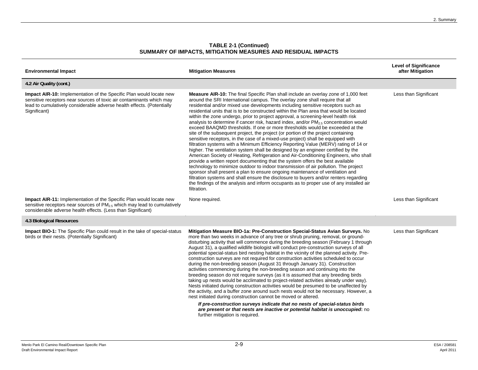| <b>Environmental Impact</b>                                                                                                                                                                                                           | <b>Mitigation Measures</b>                                                                                                                                                                                                                                                                                                                                                                                                                                                                                                                                                                                                                                                                                                                                                                                                                                                                                                                                                                                                                                                                                                                                                                                                                                                                                                                                                                                                                                                                                                     | <b>Level of Significance</b><br>after Mitigation |
|---------------------------------------------------------------------------------------------------------------------------------------------------------------------------------------------------------------------------------------|--------------------------------------------------------------------------------------------------------------------------------------------------------------------------------------------------------------------------------------------------------------------------------------------------------------------------------------------------------------------------------------------------------------------------------------------------------------------------------------------------------------------------------------------------------------------------------------------------------------------------------------------------------------------------------------------------------------------------------------------------------------------------------------------------------------------------------------------------------------------------------------------------------------------------------------------------------------------------------------------------------------------------------------------------------------------------------------------------------------------------------------------------------------------------------------------------------------------------------------------------------------------------------------------------------------------------------------------------------------------------------------------------------------------------------------------------------------------------------------------------------------------------------|--------------------------------------------------|
| 4.2 Air Quality (cont.)                                                                                                                                                                                                               |                                                                                                                                                                                                                                                                                                                                                                                                                                                                                                                                                                                                                                                                                                                                                                                                                                                                                                                                                                                                                                                                                                                                                                                                                                                                                                                                                                                                                                                                                                                                |                                                  |
| Impact AIR-10: Implementation of the Specific Plan would locate new<br>sensitive receptors near sources of toxic air contaminants which may<br>lead to cumulatively considerable adverse health effects. (Potentially<br>Significant) | <b>Measure AIR-10:</b> The final Specific Plan shall include an overlay zone of 1,000 feet<br>around the SRI International campus. The overlay zone shall require that all<br>residential and/or mixed use developments including sensitive receptors such as<br>residential units that is to be constructed within the Plan area that would be located<br>within the zone undergo, prior to project approval, a screening-level health risk<br>analysis to determine if cancer risk, hazard index, and/or $PM2.5$ concentration would<br>exceed BAAQMD thresholds. If one or more thresholds would be exceeded at the<br>site of the subsequent project, the project (or portion of the project containing<br>sensitive receptors, in the case of a mixed-use project) shall be equipped with<br>filtration systems with a Minimum Efficiency Reporting Value (MERV) rating of 14 or<br>higher. The ventilation system shall be designed by an engineer certified by the<br>American Society of Heating, Refrigeration and Air-Conditioning Engineers, who shall<br>provide a written report documenting that the system offers the best available<br>technology to minimize outdoor to indoor transmission of air pollution. The project<br>sponsor shall present a plan to ensure ongoing maintenance of ventilation and<br>filtration systems and shall ensure the disclosure to buyers and/or renters regarding<br>the findings of the analysis and inform occupants as to proper use of any installed air<br>filtration. | Less than Significant                            |
| <b>Impact AIR-11:</b> Implementation of the Specific Plan would locate new<br>sensitive receptors near sources of $PM_{2.5}$ which may lead to cumulatively<br>considerable adverse health effects. (Less than Significant)           | None required.                                                                                                                                                                                                                                                                                                                                                                                                                                                                                                                                                                                                                                                                                                                                                                                                                                                                                                                                                                                                                                                                                                                                                                                                                                                                                                                                                                                                                                                                                                                 | Less than Significant                            |
| 4.3 Biological Resources                                                                                                                                                                                                              |                                                                                                                                                                                                                                                                                                                                                                                                                                                                                                                                                                                                                                                                                                                                                                                                                                                                                                                                                                                                                                                                                                                                                                                                                                                                                                                                                                                                                                                                                                                                |                                                  |
| Impact BIO-1: The Specific Plan could result in the take of special-status<br>birds or their nests. (Potentially Significant)                                                                                                         | Mitigation Measure BIO-1a: Pre-Construction Special-Status Avian Surveys. No<br>more than two weeks in advance of any tree or shrub pruning, removal, or ground-<br>disturbing activity that will commence during the breeding season (February 1 through<br>August 31), a qualified wildlife biologist will conduct pre-construction surveys of all<br>potential special-status bird nesting habitat in the vicinity of the planned activity. Pre-<br>construction surveys are not required for construction activities scheduled to occur<br>during the non-breeding season (August 31 through January 31). Construction<br>activities commencing during the non-breeding season and continuing into the<br>breeding season do not require surveys (as it is assumed that any breeding birds<br>taking up nests would be acclimated to project-related activities already under way).<br>Nests initiated during construction activities would be presumed to be unaffected by<br>the activity, and a buffer zone around such nests would not be necessary. However, a<br>nest initiated during construction cannot be moved or altered.<br>If pre-construction surveys indicate that no nests of special-status birds<br>are present or that nests are inactive or potential habitat is unoccupied: no                                                                                                                                                                                                                       | Less than Significant                            |
|                                                                                                                                                                                                                                       | further mitigation is required.                                                                                                                                                                                                                                                                                                                                                                                                                                                                                                                                                                                                                                                                                                                                                                                                                                                                                                                                                                                                                                                                                                                                                                                                                                                                                                                                                                                                                                                                                                |                                                  |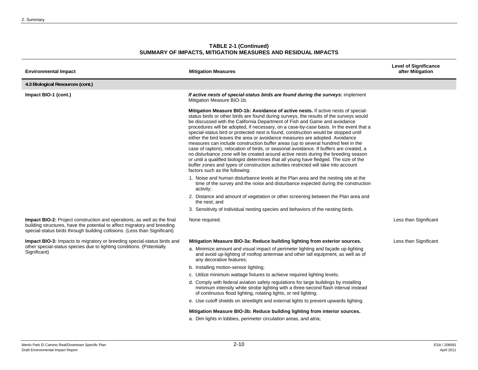| <b>Environmental Impact</b>                                                                                                                                                                                                      | <b>Mitigation Measures</b>                                                                                                                                                                                                                                                                                                                                                                                                                                                                                                                                                                                                                                                                                                                                                                                                                                                                                                                                                                                          | <b>Level of Significance</b><br>after Mitigation |
|----------------------------------------------------------------------------------------------------------------------------------------------------------------------------------------------------------------------------------|---------------------------------------------------------------------------------------------------------------------------------------------------------------------------------------------------------------------------------------------------------------------------------------------------------------------------------------------------------------------------------------------------------------------------------------------------------------------------------------------------------------------------------------------------------------------------------------------------------------------------------------------------------------------------------------------------------------------------------------------------------------------------------------------------------------------------------------------------------------------------------------------------------------------------------------------------------------------------------------------------------------------|--------------------------------------------------|
| 4.3 Biological Resources (cont.)                                                                                                                                                                                                 |                                                                                                                                                                                                                                                                                                                                                                                                                                                                                                                                                                                                                                                                                                                                                                                                                                                                                                                                                                                                                     |                                                  |
| Impact BIO-1 (cont.)                                                                                                                                                                                                             | If active nests of special-status birds are found during the surveys: implement<br>Mitigation Measure BIO-1b.                                                                                                                                                                                                                                                                                                                                                                                                                                                                                                                                                                                                                                                                                                                                                                                                                                                                                                       |                                                  |
|                                                                                                                                                                                                                                  | Mitigation Measure BIO-1b: Avoidance of active nests. If active nests of special-<br>status birds or other birds are found during surveys, the results of the surveys would<br>be discussed with the California Department of Fish and Game and avoidance<br>procedures will be adopted, if necessary, on a case-by-case basis. In the event that a<br>special-status bird or protected nest is found, construction would be stopped until<br>either the bird leaves the area or avoidance measures are adopted. Avoidance<br>measures can include construction buffer areas (up to several hundred feet in the<br>case of raptors), relocation of birds, or seasonal avoidance. If buffers are created, a<br>no disturbance zone will be created around active nests during the breeding season<br>or until a qualified biologist determines that all young have fledged. The size of the<br>buffer zones and types of construction activities restricted will take into account<br>factors such as the following: |                                                  |
|                                                                                                                                                                                                                                  | 1. Noise and human disturbance levels at the Plan area and the nesting site at the<br>time of the survey and the noise and disturbance expected during the construction<br>activity;                                                                                                                                                                                                                                                                                                                                                                                                                                                                                                                                                                                                                                                                                                                                                                                                                                |                                                  |
|                                                                                                                                                                                                                                  | 2. Distance and amount of vegetation or other screening between the Plan area and<br>the nest; and                                                                                                                                                                                                                                                                                                                                                                                                                                                                                                                                                                                                                                                                                                                                                                                                                                                                                                                  |                                                  |
|                                                                                                                                                                                                                                  | 3. Sensitivity of individual nesting species and behaviors of the nesting birds.                                                                                                                                                                                                                                                                                                                                                                                                                                                                                                                                                                                                                                                                                                                                                                                                                                                                                                                                    |                                                  |
| Impact BIO-2: Project construction and operations, as well as the final<br>building structures, have the potential to affect migratory and breeding<br>special-status birds through building collisions. (Less than Significant) | None required.                                                                                                                                                                                                                                                                                                                                                                                                                                                                                                                                                                                                                                                                                                                                                                                                                                                                                                                                                                                                      | Less than Significant                            |
| Impact BIO-3: Impacts to migratory or breeding special-status birds and                                                                                                                                                          | Mitigation Measure BIO-3a: Reduce building lighting from exterior sources.                                                                                                                                                                                                                                                                                                                                                                                                                                                                                                                                                                                                                                                                                                                                                                                                                                                                                                                                          | Less than Significant                            |
| other special-status species due to lighting conditions. (Potentially<br>Significant)                                                                                                                                            | a. Minimize amount and visual impact of perimeter lighting and facade up-lighting<br>and avoid up-lighting of rooftop antennae and other tall equipment, as well as of<br>any decorative features;                                                                                                                                                                                                                                                                                                                                                                                                                                                                                                                                                                                                                                                                                                                                                                                                                  |                                                  |
|                                                                                                                                                                                                                                  | b. Installing motion-sensor lighting;                                                                                                                                                                                                                                                                                                                                                                                                                                                                                                                                                                                                                                                                                                                                                                                                                                                                                                                                                                               |                                                  |
|                                                                                                                                                                                                                                  | c. Utilize minimum wattage fixtures to achieve required lighting levels;                                                                                                                                                                                                                                                                                                                                                                                                                                                                                                                                                                                                                                                                                                                                                                                                                                                                                                                                            |                                                  |
|                                                                                                                                                                                                                                  | d. Comply with federal aviation safety regulations for large buildings by installing<br>minimum intensity white strobe lighting with a three-second flash interval instead<br>of continuous flood lighting, rotating lights, or red lighting;                                                                                                                                                                                                                                                                                                                                                                                                                                                                                                                                                                                                                                                                                                                                                                       |                                                  |
|                                                                                                                                                                                                                                  | e. Use cutoff shields on streetlight and external lights to prevent upwards lighting.                                                                                                                                                                                                                                                                                                                                                                                                                                                                                                                                                                                                                                                                                                                                                                                                                                                                                                                               |                                                  |
|                                                                                                                                                                                                                                  | Mitigation Measure BIO-3b: Reduce building lighting from interior sources.<br>a. Dim lights in lobbies, perimeter circulation areas, and atria;                                                                                                                                                                                                                                                                                                                                                                                                                                                                                                                                                                                                                                                                                                                                                                                                                                                                     |                                                  |
|                                                                                                                                                                                                                                  |                                                                                                                                                                                                                                                                                                                                                                                                                                                                                                                                                                                                                                                                                                                                                                                                                                                                                                                                                                                                                     |                                                  |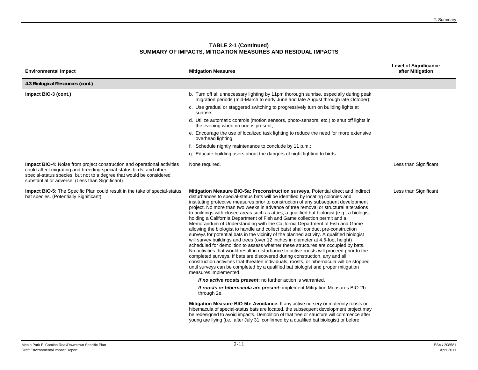| <b>Environmental Impact</b>                                                                                                                                                                                                                                                       | <b>Mitigation Measures</b>                                                                                                                                                                                                                                                                                                                                                                                                                                                                                                                                                                                                                                                                                                                                                                                                                                                                                                                                                                                                                                                                                                                                                                                                                                                                                                                                                                                                                                                                                                 | <b>Level of Significance</b><br>after Mitigation |
|-----------------------------------------------------------------------------------------------------------------------------------------------------------------------------------------------------------------------------------------------------------------------------------|----------------------------------------------------------------------------------------------------------------------------------------------------------------------------------------------------------------------------------------------------------------------------------------------------------------------------------------------------------------------------------------------------------------------------------------------------------------------------------------------------------------------------------------------------------------------------------------------------------------------------------------------------------------------------------------------------------------------------------------------------------------------------------------------------------------------------------------------------------------------------------------------------------------------------------------------------------------------------------------------------------------------------------------------------------------------------------------------------------------------------------------------------------------------------------------------------------------------------------------------------------------------------------------------------------------------------------------------------------------------------------------------------------------------------------------------------------------------------------------------------------------------------|--------------------------------------------------|
| 4.3 Biological Resources (cont.)                                                                                                                                                                                                                                                  |                                                                                                                                                                                                                                                                                                                                                                                                                                                                                                                                                                                                                                                                                                                                                                                                                                                                                                                                                                                                                                                                                                                                                                                                                                                                                                                                                                                                                                                                                                                            |                                                  |
| Impact BIO-3 (cont.)                                                                                                                                                                                                                                                              | b. Turn off all unnecessary lighting by 11pm thorough sunrise, especially during peak<br>migration periods (mid-March to early June and late August through late October);                                                                                                                                                                                                                                                                                                                                                                                                                                                                                                                                                                                                                                                                                                                                                                                                                                                                                                                                                                                                                                                                                                                                                                                                                                                                                                                                                 |                                                  |
|                                                                                                                                                                                                                                                                                   | c. Use gradual or staggered switching to progressively turn on building lights at<br>sunrise.                                                                                                                                                                                                                                                                                                                                                                                                                                                                                                                                                                                                                                                                                                                                                                                                                                                                                                                                                                                                                                                                                                                                                                                                                                                                                                                                                                                                                              |                                                  |
|                                                                                                                                                                                                                                                                                   | d. Utilize automatic controls (motion sensors, photo-sensors, etc.) to shut off lights in<br>the evening when no one is present:                                                                                                                                                                                                                                                                                                                                                                                                                                                                                                                                                                                                                                                                                                                                                                                                                                                                                                                                                                                                                                                                                                                                                                                                                                                                                                                                                                                           |                                                  |
|                                                                                                                                                                                                                                                                                   | e. Encourage the use of localized task lighting to reduce the need for more extensive<br>overhead lighting;                                                                                                                                                                                                                                                                                                                                                                                                                                                                                                                                                                                                                                                                                                                                                                                                                                                                                                                                                                                                                                                                                                                                                                                                                                                                                                                                                                                                                |                                                  |
|                                                                                                                                                                                                                                                                                   | f. Schedule nightly maintenance to conclude by 11 p.m.;                                                                                                                                                                                                                                                                                                                                                                                                                                                                                                                                                                                                                                                                                                                                                                                                                                                                                                                                                                                                                                                                                                                                                                                                                                                                                                                                                                                                                                                                    |                                                  |
|                                                                                                                                                                                                                                                                                   | g. Educate building users about the dangers of night lighting to birds.                                                                                                                                                                                                                                                                                                                                                                                                                                                                                                                                                                                                                                                                                                                                                                                                                                                                                                                                                                                                                                                                                                                                                                                                                                                                                                                                                                                                                                                    |                                                  |
| <b>Impact BIO-4:</b> Noise from project construction and operational activities<br>could affect migrating and breeding special-status birds, and other<br>special-status species, but not to a degree that would be considered<br>substantial or adverse. (Less than Significant) | None required.                                                                                                                                                                                                                                                                                                                                                                                                                                                                                                                                                                                                                                                                                                                                                                                                                                                                                                                                                                                                                                                                                                                                                                                                                                                                                                                                                                                                                                                                                                             | Less than Significant                            |
| <b>Impact BIO-5:</b> The Specific Plan could result in the take of special-status<br>bat species. (Potentially Significant)                                                                                                                                                       | Mitigation Measure BIO-5a: Preconstruction surveys. Potential direct and indirect<br>disturbances to special-status bats will be identified by locating colonies and<br>instituting protective measures prior to construction of any subsequent development<br>project. No more than two weeks in advance of tree removal or structural alterations<br>to buildings with closed areas such as attics, a qualified bat biologist (e.g., a biologist<br>holding a California Department of Fish and Game collection permit and a<br>Memorandum of Understanding with the California Department of Fish and Game<br>allowing the biologist to handle and collect bats) shall conduct pre-construction<br>surveys for potential bats in the vicinity of the planned activity. A qualified biologist<br>will survey buildings and trees (over 12 inches in diameter at 4.5-foot height)<br>scheduled for demolition to assess whether these structures are occupied by bats.<br>No activities that would result in disturbance to active roosts will proceed prior to the<br>completed surveys. If bats are discovered during construction, any and all<br>construction activities that threaten individuals, roosts, or hibernacula will be stopped<br>until surveys can be completed by a qualified bat biologist and proper mitigation<br>measures implemented.<br>If no active roosts present: no further action is warranted.<br>If roosts or hibernacula are present: implement Mitigation Measures BIO-2b<br>through 2e. | Less than Significant                            |
|                                                                                                                                                                                                                                                                                   | Mitigation Measure BIO-5b: Avoidance. If any active nursery or maternity roosts or<br>hibernacula of special-status bats are located, the subsequent development project may<br>be redesigned to avoid impacts. Demolition of that tree or structure will commence after<br>young are flying (i.e., after July 31, confirmed by a qualified bat biologist) or before                                                                                                                                                                                                                                                                                                                                                                                                                                                                                                                                                                                                                                                                                                                                                                                                                                                                                                                                                                                                                                                                                                                                                       |                                                  |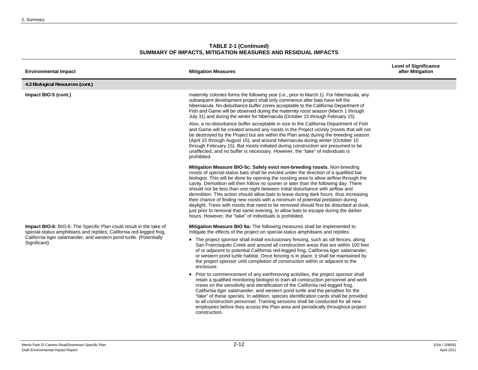| <b>TABLE 2-1 (Continued)</b>                                 |
|--------------------------------------------------------------|
| SUMMARY OF IMPACTS, MITIGATION MEASURES AND RESIDUAL IMPACTS |

| <b>Environmental Impact</b>                                                                                                                                                                                                     | <b>Mitigation Measures</b>                                                                                                                                                                                                                                                                                                                                                                                                                                                                                                                                                                                                                                                                                                                                                                                                                                                                                                                                                                                                                                                                                                                                                                                                                            | <b>Level of Significance</b><br>after Mitigation |
|---------------------------------------------------------------------------------------------------------------------------------------------------------------------------------------------------------------------------------|-------------------------------------------------------------------------------------------------------------------------------------------------------------------------------------------------------------------------------------------------------------------------------------------------------------------------------------------------------------------------------------------------------------------------------------------------------------------------------------------------------------------------------------------------------------------------------------------------------------------------------------------------------------------------------------------------------------------------------------------------------------------------------------------------------------------------------------------------------------------------------------------------------------------------------------------------------------------------------------------------------------------------------------------------------------------------------------------------------------------------------------------------------------------------------------------------------------------------------------------------------|--------------------------------------------------|
| 4.3 Biological Resources (cont.)                                                                                                                                                                                                |                                                                                                                                                                                                                                                                                                                                                                                                                                                                                                                                                                                                                                                                                                                                                                                                                                                                                                                                                                                                                                                                                                                                                                                                                                                       |                                                  |
| Impact BIO-5 (cont.)                                                                                                                                                                                                            | maternity colonies forms the following year (i.e., prior to March 1). For hibernacula, any<br>subsequent development project shall only commence after bats have left the<br>hibernacula. No-disturbance buffer zones acceptable to the California Department of<br>Fish and Game will be observed during the maternity roost season (March 1 through<br>July 31) and during the winter for hibernacula (October 15 through February 15).                                                                                                                                                                                                                                                                                                                                                                                                                                                                                                                                                                                                                                                                                                                                                                                                             |                                                  |
|                                                                                                                                                                                                                                 | Also, a no-disturbance buffer acceptable in size to the California Department of Fish<br>and Game will be created around any roosts in the Project vicinity (roosts that will not<br>be destroyed by the Project but are within the Plan area) during the breeding season<br>(April 15 through August 15), and around hibernacula during winter (October 15<br>through February 15). Bat roosts initiated during construction are presumed to be<br>unaffected, and no buffer is necessary. However, the "take" of individuals is<br>prohibited.                                                                                                                                                                                                                                                                                                                                                                                                                                                                                                                                                                                                                                                                                                      |                                                  |
|                                                                                                                                                                                                                                 | Mitigation Measure BIO-5c: Safely evict non-breeding roosts. Non-breeding<br>roosts of special-status bats shall be evicted under the direction of a qualified bat<br>biologist. This will be done by opening the roosting area to allow airflow through the<br>cavity. Demolition will then follow no sooner or later than the following day. There<br>should not be less than one night between initial disturbance with airflow and<br>demolition. This action should allow bats to leave during dark hours, thus increasing<br>their chance of finding new roosts with a minimum of potential predation during<br>daylight. Trees with roosts that need to be removed should first be disturbed at dusk,<br>just prior to removal that same evening, to allow bats to escape during the darker<br>hours. However, the "take" of individuals is prohibited.                                                                                                                                                                                                                                                                                                                                                                                        |                                                  |
| Impact BIO-6: BIO-6: The Specific Plan could result in the take of<br>special-status amphibians and reptiles; California red-legged frog,<br>California tiger salamander, and western pond turtle. (Potentially<br>Significant) | Mitigation Measure BIO 6a: The following measures shall be implemented to<br>mitigate the effects of the project on special-status amphibians and reptiles:<br>• The project sponsor shall install exclusionary fencing, such as silt fences, along<br>San Francisquito Creek and around all construction areas that are within 100 feet<br>of or adjacent to potential California red-legged frog, California tiger salamander,<br>or western pond turtle habitat. Once fencing is in place, it shall be maintained by<br>the project sponsor until completion of construction within or adjacent to the<br>enclosure.<br>• Prior to commencement of any earthmoving activities, the project sponsor shall<br>retain a qualified monitoring biologist to train all construction personnel and work<br>crews on the sensitivity and identification of the California red-legged frog.<br>California tiger salamander, and western pond turtle and the penalties for the<br>"take" of these species. In addition, species identification cards shall be provided<br>to all construction personnel. Training sessions shall be conducted for all new<br>employees before they access the Plan area and periodically throughout project<br>construction. |                                                  |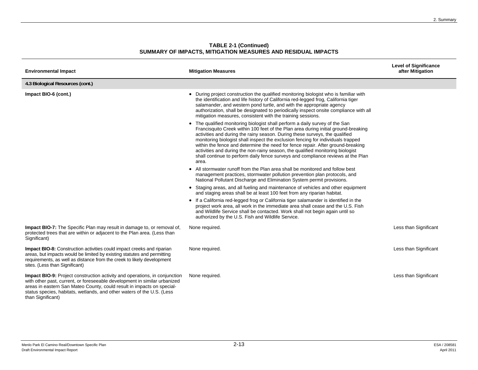| <b>Environmental Impact</b>                                                                                                                                                                                                                                                                                                      | <b>Mitigation Measures</b>                                                                                                                                                                                                                                                                                                                                                                                                                                                                                                                                                                              | <b>Level of Significance</b><br>after Mitigation |
|----------------------------------------------------------------------------------------------------------------------------------------------------------------------------------------------------------------------------------------------------------------------------------------------------------------------------------|---------------------------------------------------------------------------------------------------------------------------------------------------------------------------------------------------------------------------------------------------------------------------------------------------------------------------------------------------------------------------------------------------------------------------------------------------------------------------------------------------------------------------------------------------------------------------------------------------------|--------------------------------------------------|
| 4.3 Biological Resources (cont.)                                                                                                                                                                                                                                                                                                 |                                                                                                                                                                                                                                                                                                                                                                                                                                                                                                                                                                                                         |                                                  |
| Impact BIO-6 (cont.)                                                                                                                                                                                                                                                                                                             | During project construction the qualified monitoring biologist who is familiar with<br>the identification and life history of California red-legged frog, California tiger<br>salamander, and western pond turtle, and with the appropriate agency<br>authorization, shall be designated to periodically inspect onsite compliance with all<br>mitigation measures, consistent with the training sessions.                                                                                                                                                                                              |                                                  |
|                                                                                                                                                                                                                                                                                                                                  | • The qualified monitoring biologist shall perform a daily survey of the San<br>Francisquito Creek within 100 feet of the Plan area during initial ground-breaking<br>activities and during the rainy season. During these surveys, the qualified<br>monitoring biologist shall inspect the exclusion fencing for individuals trapped<br>within the fence and determine the need for fence repair. After ground-breaking<br>activities and during the non-rainy season, the qualified monitoring biologist<br>shall continue to perform daily fence surveys and compliance reviews at the Plan<br>area. |                                                  |
|                                                                                                                                                                                                                                                                                                                                  | • All stormwater runoff from the Plan area shall be monitored and follow best<br>management practices, stormwater pollution prevention plan protocols, and<br>National Pollutant Discharge and Elimination System permit provisions.                                                                                                                                                                                                                                                                                                                                                                    |                                                  |
|                                                                                                                                                                                                                                                                                                                                  | • Staging areas, and all fueling and maintenance of vehicles and other equipment<br>and staging areas shall be at least 100 feet from any riparian habitat.                                                                                                                                                                                                                                                                                                                                                                                                                                             |                                                  |
|                                                                                                                                                                                                                                                                                                                                  | • If a California red-legged frog or California tiger salamander is identified in the<br>project work area, all work in the immediate area shall cease and the U.S. Fish<br>and Wildlife Service shall be contacted. Work shall not begin again until so<br>authorized by the U.S. Fish and Wildlife Service.                                                                                                                                                                                                                                                                                           |                                                  |
| <b>Impact BIO-7:</b> The Specific Plan may result in damage to, or removal of,<br>protected trees that are within or adjacent to the Plan area. (Less than<br>Significant)                                                                                                                                                       | None required.                                                                                                                                                                                                                                                                                                                                                                                                                                                                                                                                                                                          | Less than Significant                            |
| <b>Impact BIO-8:</b> Construction activities could impact creeks and riparian<br>areas, but impacts would be limited by existing statutes and permitting<br>requirements, as well as distance from the creek to likely development<br>sites. (Less than Significant)                                                             | None required.                                                                                                                                                                                                                                                                                                                                                                                                                                                                                                                                                                                          | Less than Significant                            |
| Impact BIO-9: Project construction activity and operations, in conjunction<br>with other past, current, or foreseeable development in similar urbanized<br>areas in eastern San Mateo County, could result in impacts on special-<br>status species, habitats, wetlands, and other waters of the U.S. (Less<br>than Significant) | None required.                                                                                                                                                                                                                                                                                                                                                                                                                                                                                                                                                                                          | Less than Significant                            |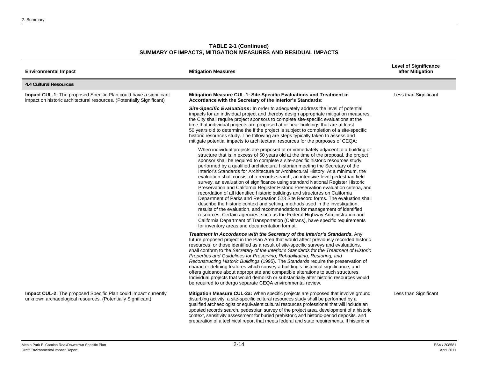| <b>Environmental Impact</b>                                                                                                                       | <b>Mitigation Measures</b>                                                                                                                                                                                                                                                                                                                                                                                                                                                                                                                                                                                                                                                                                                                                                                                                                                                                                                                                                                                                                                                                                                                                                                                                                            | <b>Level of Significance</b><br>after Mitigation |
|---------------------------------------------------------------------------------------------------------------------------------------------------|-------------------------------------------------------------------------------------------------------------------------------------------------------------------------------------------------------------------------------------------------------------------------------------------------------------------------------------------------------------------------------------------------------------------------------------------------------------------------------------------------------------------------------------------------------------------------------------------------------------------------------------------------------------------------------------------------------------------------------------------------------------------------------------------------------------------------------------------------------------------------------------------------------------------------------------------------------------------------------------------------------------------------------------------------------------------------------------------------------------------------------------------------------------------------------------------------------------------------------------------------------|--------------------------------------------------|
| <b>4.4 Cultural Resources</b>                                                                                                                     |                                                                                                                                                                                                                                                                                                                                                                                                                                                                                                                                                                                                                                                                                                                                                                                                                                                                                                                                                                                                                                                                                                                                                                                                                                                       |                                                  |
| <b>Impact CUL-1:</b> The proposed Specific Plan could have a significant<br>impact on historic architectural resources. (Potentially Significant) | Mitigation Measure CUL-1: Site Specific Evaluations and Treatment in<br>Accordance with the Secretary of the Interior's Standards:                                                                                                                                                                                                                                                                                                                                                                                                                                                                                                                                                                                                                                                                                                                                                                                                                                                                                                                                                                                                                                                                                                                    | Less than Significant                            |
|                                                                                                                                                   | <b>Site-Specific Evaluations:</b> In order to adequately address the level of potential<br>impacts for an individual project and thereby design appropriate mitigation measures,<br>the City shall require project sponsors to complete site-specific evaluations at the<br>time that individual projects are proposed at or near buildings that are at least<br>50 years old to determine the if the project is subject to completion of a site-specific<br>historic resources study. The following are steps typically taken to assess and<br>mitigate potential impacts to architectural resources for the purposes of CEQA:                                                                                                                                                                                                                                                                                                                                                                                                                                                                                                                                                                                                                       |                                                  |
|                                                                                                                                                   | When individual projects are proposed at or immediately adjacent to a building or<br>structure that is in excess of 50 years old at the time of the proposal, the project<br>sponsor shall be required to complete a site-specific historic resources study<br>performed by a qualified architectural historian meeting the Secretary of the<br>Interior's Standards for Architecture or Architectural History. At a minimum, the<br>evaluation shall consist of a records search, an intensive-level pedestrian field<br>survey, an evaluation of significance using standard National Register Historic<br>Preservation and California Register Historic Preservation evaluation criteria, and<br>recordation of all identified historic buildings and structures on California<br>Department of Parks and Recreation 523 Site Record forms. The evaluation shall<br>describe the historic context and setting, methods used in the investigation,<br>results of the evaluation, and recommendations for management of identified<br>resources. Certain agencies, such as the Federal Highway Administration and<br>California Department of Transportation (Caltrans), have specific requirements<br>for inventory areas and documentation format. |                                                  |
|                                                                                                                                                   | Treatment in Accordance with the Secretary of the Interior's Standards. Any<br>future proposed project in the Plan Area that would affect previously recorded historic<br>resources, or those identified as a result of site-specific surveys and evaluations,<br>shall conform to the Secretary of the Interior's Standards for the Treatment of Historic<br>Properties and Guidelines for Preserving, Rehabilitating, Restoring, and<br>Reconstructing Historic Buildings (1995). The Standards require the preservation of<br>character defining features which convey a building's historical significance, and<br>offers guidance about appropriate and compatible alterations to such structures.<br>Individual projects that would demolish or substantially alter historic resources would<br>be required to undergo separate CEQA environmental review.                                                                                                                                                                                                                                                                                                                                                                                      |                                                  |
| Impact CUL-2: The proposed Specific Plan could impact currently<br>unknown archaeological resources. (Potentially Significant)                    | Mitigation Measure CUL-2a: When specific projects are proposed that involve ground<br>disturbing activity, a site-specific cultural resources study shall be performed by a<br>qualified archaeologist or equivalent cultural resources professional that will include an<br>updated records search, pedestrian survey of the project area, development of a historic<br>context, sensitivity assessment for buried prehistoric and historic-period deposits, and<br>preparation of a technical report that meets federal and state requirements. If historic or                                                                                                                                                                                                                                                                                                                                                                                                                                                                                                                                                                                                                                                                                      | Less than Significant                            |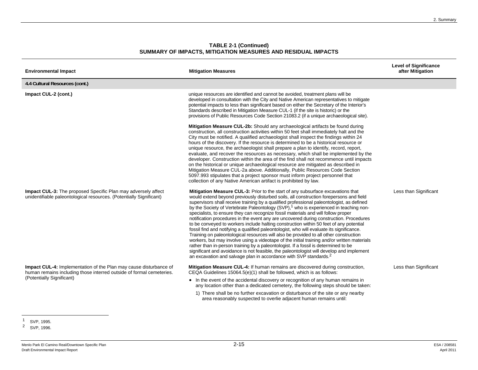| <b>Environmental Impact</b>                                                                                                                                            | <b>Mitigation Measures</b>                                                                                                                                                                                                                                                                                                                                                                                                                                                                                                                                                                                                                                                                                                                                                                                                                                                                                                                                                                                                                                                                                                                                                                                    | <b>Level of Significance</b><br>after Mitigation |
|------------------------------------------------------------------------------------------------------------------------------------------------------------------------|---------------------------------------------------------------------------------------------------------------------------------------------------------------------------------------------------------------------------------------------------------------------------------------------------------------------------------------------------------------------------------------------------------------------------------------------------------------------------------------------------------------------------------------------------------------------------------------------------------------------------------------------------------------------------------------------------------------------------------------------------------------------------------------------------------------------------------------------------------------------------------------------------------------------------------------------------------------------------------------------------------------------------------------------------------------------------------------------------------------------------------------------------------------------------------------------------------------|--------------------------------------------------|
| 4.4 Cultural Resources (cont.)                                                                                                                                         |                                                                                                                                                                                                                                                                                                                                                                                                                                                                                                                                                                                                                                                                                                                                                                                                                                                                                                                                                                                                                                                                                                                                                                                                               |                                                  |
| Impact CUL-2 (cont.)                                                                                                                                                   | unique resources are identified and cannot be avoided, treatment plans will be<br>developed in consultation with the City and Native American representatives to mitigate<br>potential impacts to less than significant based on either the Secretary of the Interior's<br>Standards described in Mitigation Measure CUL-1 (if the site is historic) or the<br>provisions of Public Resources Code Section 21083.2 (if a unique archaeological site).                                                                                                                                                                                                                                                                                                                                                                                                                                                                                                                                                                                                                                                                                                                                                         |                                                  |
|                                                                                                                                                                        | Mitigation Measure CUL-2b: Should any archaeological artifacts be found during<br>construction, all construction activities within 50 feet shall immediately halt and the<br>City must be notified. A qualified archaeologist shall inspect the findings within 24<br>hours of the discovery. If the resource is determined to be a historical resource or<br>unique resource, the archaeologist shall prepare a plan to identify, record, report,<br>evaluate, and recover the resources as necessary, which shall be implemented by the<br>developer. Construction within the area of the find shall not recommence until impacts<br>on the historical or unique archaeological resource are mitigated as described in<br>Mitigation Measure CUL-2a above. Additionally, Public Resources Code Section<br>5097.993 stipulates that a project sponsor must inform project personnel that<br>collection of any Native American artifact is prohibited by law.                                                                                                                                                                                                                                                 |                                                  |
| <b>Impact CUL-3:</b> The proposed Specific Plan may adversely affect<br>unidentifiable paleontological resources. (Potentially Significant)                            | Mitigation Measure CUL-3: Prior to the start of any subsurface excavations that<br>would extend beyond previously disturbed soils, all construction forepersons and field<br>supervisors shall receive training by a qualified professional paleontologist, as defined<br>by the Society of Vertebrate Paleontology (SVP), <sup>1</sup> who is experienced in teaching non-<br>specialists, to ensure they can recognize fossil materials and will follow proper<br>notification procedures in the event any are uncovered during construction. Procedures<br>to be conveyed to workers include halting construction within 50 feet of any potential<br>fossil find and notifying a qualified paleontologist, who will evaluate its significance.<br>Training on paleontological resources will also be provided to all other construction<br>workers, but may involve using a videotape of the initial training and/or written materials<br>rather than in-person training by a paleontologist. If a fossil is determined to be<br>significant and avoidance is not feasible, the paleontologist will develop and implement<br>an excavation and salvage plan in accordance with SVP standards. <sup>2</sup> | Less than Significant                            |
| Impact CUL-4: Implementation of the Plan may cause disturbance of<br>human remains including those interred outside of formal cemeteries.<br>(Potentially Significant) | Mitigation Measure CUL-4: If human remains are discovered during construction,<br>CEQA Guidelines 15064.5(e)(1) shall be followed, which is as follows:<br>• In the event of the accidental discovery or recognition of any human remains in<br>any location other than a dedicated cemetery, the following steps should be taken:<br>1) There shall be no further excavation or disturbance of the site or any nearby<br>area reasonably suspected to overlie adjacent human remains until:                                                                                                                                                                                                                                                                                                                                                                                                                                                                                                                                                                                                                                                                                                                  | Less than Significant                            |

<sup>&</sup>lt;sup>1</sup> SVP, 1995.

<sup>&</sup>lt;sup>2</sup> SVP, 1996.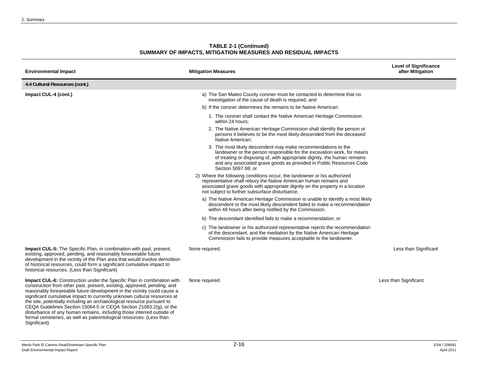| <b>Environmental Impact</b>                                                                                                                                                                                                                                                                                                                                                                                                                                                                                                                                                                                                     | <b>Mitigation Measures</b>                                                                                                                                                                                                                                                                                        | <b>Level of Significance</b><br>after Mitigation |
|---------------------------------------------------------------------------------------------------------------------------------------------------------------------------------------------------------------------------------------------------------------------------------------------------------------------------------------------------------------------------------------------------------------------------------------------------------------------------------------------------------------------------------------------------------------------------------------------------------------------------------|-------------------------------------------------------------------------------------------------------------------------------------------------------------------------------------------------------------------------------------------------------------------------------------------------------------------|--------------------------------------------------|
| 4.4 Cultural Resources (cont.)                                                                                                                                                                                                                                                                                                                                                                                                                                                                                                                                                                                                  |                                                                                                                                                                                                                                                                                                                   |                                                  |
| Impact CUL-4 (cont.)                                                                                                                                                                                                                                                                                                                                                                                                                                                                                                                                                                                                            | a) The San Mateo County coroner must be contacted to determine that no<br>investigation of the cause of death is required; and                                                                                                                                                                                    |                                                  |
|                                                                                                                                                                                                                                                                                                                                                                                                                                                                                                                                                                                                                                 | b) If the coroner determines the remains to be Native American:                                                                                                                                                                                                                                                   |                                                  |
|                                                                                                                                                                                                                                                                                                                                                                                                                                                                                                                                                                                                                                 | 1. The coroner shall contact the Native American Heritage Commission<br>within 24 hours:                                                                                                                                                                                                                          |                                                  |
|                                                                                                                                                                                                                                                                                                                                                                                                                                                                                                                                                                                                                                 | 2. The Native American Heritage Commission shall identify the person or<br>persons it believes to be the most likely descended from the deceased<br>Native American:                                                                                                                                              |                                                  |
|                                                                                                                                                                                                                                                                                                                                                                                                                                                                                                                                                                                                                                 | 3. The most likely descendent may make recommendations to the<br>landowner or the person responsible for the excavation work, for means<br>of treating or disposing of, with appropriate dignity, the human remains<br>and any associated grave goods as provided in Public Resources Code<br>Section 5097.98; or |                                                  |
|                                                                                                                                                                                                                                                                                                                                                                                                                                                                                                                                                                                                                                 | 2) Where the following conditions occur, the landowner or his authorized<br>representative shall rebury the Native American human remains and<br>associated grave goods with appropriate dignity on the property in a location<br>not subject to further subsurface disturbance.                                  |                                                  |
|                                                                                                                                                                                                                                                                                                                                                                                                                                                                                                                                                                                                                                 | a) The Native American Heritage Commission is unable to identify a most likely<br>descendent or the most likely descendent failed to make a recommendation<br>within 48 hours after being notified by the Commission.                                                                                             |                                                  |
|                                                                                                                                                                                                                                                                                                                                                                                                                                                                                                                                                                                                                                 | b) The descendant identified fails to make a recommendation; or                                                                                                                                                                                                                                                   |                                                  |
|                                                                                                                                                                                                                                                                                                                                                                                                                                                                                                                                                                                                                                 | c) The landowner or his authorized representative rejects the recommendation<br>of the descendant, and the mediation by the Native American Heritage<br>Commission fails to provide measures acceptable to the landowner.                                                                                         |                                                  |
| <b>Impact CUL-5:</b> The Specific Plan, in combination with past, present,<br>existing, approved, pending, and reasonably foreseeable future<br>development in the vicinity of the Plan area that would involve demolition<br>of historical resources, could form a significant cumulative impact to<br>historical resources. (Less than Significant)                                                                                                                                                                                                                                                                           | None required.                                                                                                                                                                                                                                                                                                    | Less than Significant                            |
| <b>Impact CUL-6:</b> Construction under the Specific Plan in combination with<br>construction from other past, present, existing, approved, pending, and<br>reasonably foreseeable future development in the vicinity could cause a<br>significant cumulative impact to currently unknown cultural resources at<br>the site, potentially including an archaeological resource pursuant to<br>CEQA Guidelines Section 15064.5 or CEQA Section 21083.2(g), or the<br>disturbance of any human remains, including those interred outside of<br>formal cemeteries, as well as paleontological resources. (Less than<br>Significant) | None required.                                                                                                                                                                                                                                                                                                    | Less than Significant.                           |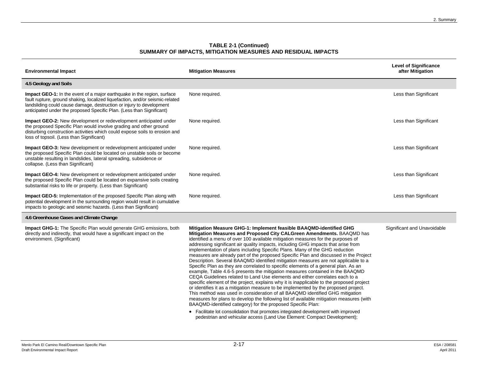| <b>Environmental Impact</b>                                                                                                                                                                                                                                                                                      | <b>Mitigation Measures</b>                                                                                                                                                                                                                                                                                                                                                                                                                                                                                                                                                                                                                                                                                                                                                                                                                                                                                                                                                                                                                                                                                                                                                                                                                                                                                                                                 | <b>Level of Significance</b><br>after Mitigation |
|------------------------------------------------------------------------------------------------------------------------------------------------------------------------------------------------------------------------------------------------------------------------------------------------------------------|------------------------------------------------------------------------------------------------------------------------------------------------------------------------------------------------------------------------------------------------------------------------------------------------------------------------------------------------------------------------------------------------------------------------------------------------------------------------------------------------------------------------------------------------------------------------------------------------------------------------------------------------------------------------------------------------------------------------------------------------------------------------------------------------------------------------------------------------------------------------------------------------------------------------------------------------------------------------------------------------------------------------------------------------------------------------------------------------------------------------------------------------------------------------------------------------------------------------------------------------------------------------------------------------------------------------------------------------------------|--------------------------------------------------|
| 4.5 Geology and Soils                                                                                                                                                                                                                                                                                            |                                                                                                                                                                                                                                                                                                                                                                                                                                                                                                                                                                                                                                                                                                                                                                                                                                                                                                                                                                                                                                                                                                                                                                                                                                                                                                                                                            |                                                  |
| <b>Impact GEO-1:</b> In the event of a major earthquake in the region, surface<br>fault rupture, ground shaking, localized liquefaction, and/or seismic-related<br>landsliding could cause damage, destruction or injury to development<br>anticipated under the proposed Specific Plan. (Less than Significant) | None required.                                                                                                                                                                                                                                                                                                                                                                                                                                                                                                                                                                                                                                                                                                                                                                                                                                                                                                                                                                                                                                                                                                                                                                                                                                                                                                                                             | Less than Significant                            |
| Impact GEO-2: New development or redevelopment anticipated under<br>the proposed Specific Plan would involve grading and other ground<br>disturbing construction activities which could expose soils to erosion and<br>loss of topsoil. (Less than Significant)                                                  | None required.                                                                                                                                                                                                                                                                                                                                                                                                                                                                                                                                                                                                                                                                                                                                                                                                                                                                                                                                                                                                                                                                                                                                                                                                                                                                                                                                             | Less than Significant                            |
| <b>Impact GEO-3:</b> New development or redevelopment anticipated under<br>the proposed Specific Plan could be located on unstable soils or become<br>unstable resulting in landslides, lateral spreading, subsidence or<br>collapse. (Less than Significant)                                                    | None required.                                                                                                                                                                                                                                                                                                                                                                                                                                                                                                                                                                                                                                                                                                                                                                                                                                                                                                                                                                                                                                                                                                                                                                                                                                                                                                                                             | Less than Significant                            |
| <b>Impact GEO-4:</b> New development or redevelopment anticipated under<br>the proposed Specific Plan could be located on expansive soils creating<br>substantial risks to life or property. (Less than Significant)                                                                                             | None required.                                                                                                                                                                                                                                                                                                                                                                                                                                                                                                                                                                                                                                                                                                                                                                                                                                                                                                                                                                                                                                                                                                                                                                                                                                                                                                                                             | Less than Significant                            |
| <b>Impact GEO-5:</b> Implementation of the proposed Specific Plan along with<br>potential development in the surrounding region would result in cumulative<br>impacts to geologic and seismic hazards. (Less than Significant)                                                                                   | None required.                                                                                                                                                                                                                                                                                                                                                                                                                                                                                                                                                                                                                                                                                                                                                                                                                                                                                                                                                                                                                                                                                                                                                                                                                                                                                                                                             | Less than Significant                            |
| 4.6 Greenhouse Gases and Climate Change                                                                                                                                                                                                                                                                          |                                                                                                                                                                                                                                                                                                                                                                                                                                                                                                                                                                                                                                                                                                                                                                                                                                                                                                                                                                                                                                                                                                                                                                                                                                                                                                                                                            |                                                  |
| <b>Impact GHG-1:</b> The Specific Plan would generate GHG emissions, both<br>directly and indirectly, that would have a significant impact on the<br>environment. (Significant)                                                                                                                                  | Mitigation Measure GHG-1: Implement feasible BAAQMD-identified GHG<br>Mitigation Measures and Proposed City CALGreen Amendments. BAAQMD has<br>identified a menu of over 100 available mitigation measures for the purposes of<br>addressing significant air quality impacts, including GHG impacts that arise from<br>implementation of plans including Specific Plans. Many of the GHG reduction<br>measures are already part of the proposed Specific Plan and discussed in the Project<br>Description. Several BAAQMD identified mitigation measures are not applicable to a<br>Specific Plan as they are correlated to specific elements of a general plan. As an<br>example, Table 4.6-5 presents the mitigation measures contained in the BAAQMD<br>CEQA Guidelines related to Land Use elements and either correlates each to a<br>specific element of the project, explains why it is inapplicable to the proposed project<br>or identifies it as a mitigation measure to be implemented by the proposed project.<br>This method was used in consideration of all BAAQMD identified GHG mitigation<br>measures for plans to develop the following list of available mitigation measures (with<br>BAAQMD-identified category) for the proposed Specific Plan:<br>• Facilitate lot consolidation that promotes integrated development with improved | Significant and Unavoidable                      |
|                                                                                                                                                                                                                                                                                                                  | pedestrian and vehicular access (Land Use Element: Compact Development);                                                                                                                                                                                                                                                                                                                                                                                                                                                                                                                                                                                                                                                                                                                                                                                                                                                                                                                                                                                                                                                                                                                                                                                                                                                                                   |                                                  |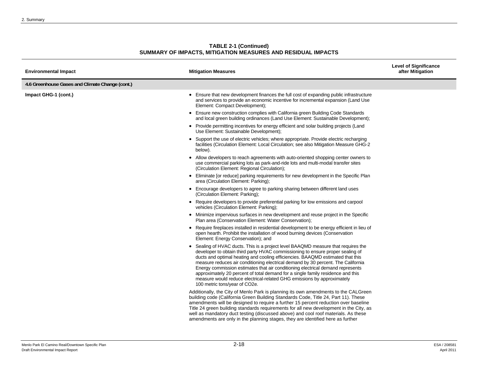| <b>TABLE 2-1 (Continued)</b>                                 |
|--------------------------------------------------------------|
| SUMMARY OF IMPACTS, MITIGATION MEASURES AND RESIDUAL IMPACTS |

| <b>Environmental Impact</b>                     | <b>Mitigation Measures</b>                                                                                                                                                                                                                                                                                                                                                                                                                                                                                                                                                                                                | <b>Level of Significance</b><br>after Mitigation |
|-------------------------------------------------|---------------------------------------------------------------------------------------------------------------------------------------------------------------------------------------------------------------------------------------------------------------------------------------------------------------------------------------------------------------------------------------------------------------------------------------------------------------------------------------------------------------------------------------------------------------------------------------------------------------------------|--------------------------------------------------|
| 4.6 Greenhouse Gases and Climate Change (cont.) |                                                                                                                                                                                                                                                                                                                                                                                                                                                                                                                                                                                                                           |                                                  |
| Impact GHG-1 (cont.)                            | • Ensure that new development finances the full cost of expanding public infrastructure<br>and services to provide an economic incentive for incremental expansion (Land Use<br>Element: Compact Development);                                                                                                                                                                                                                                                                                                                                                                                                            |                                                  |
|                                                 | • Ensure new construction complies with California green Building Code Standards<br>and local green building ordinances (Land Use Element: Sustainable Development);                                                                                                                                                                                                                                                                                                                                                                                                                                                      |                                                  |
|                                                 | • Provide permitting incentives for energy efficient and solar building projects (Land<br>Use Element: Sustainable Development);                                                                                                                                                                                                                                                                                                                                                                                                                                                                                          |                                                  |
|                                                 | • Support the use of electric vehicles; where appropriate. Provide electric recharging<br>facilities (Circulation Element: Local Circulation; see also Mitigation Measure GHG-2<br>below).                                                                                                                                                                                                                                                                                                                                                                                                                                |                                                  |
|                                                 | • Allow developers to reach agreements with auto-oriented shopping center owners to<br>use commercial parking lots as park-and-ride lots and multi-modal transfer sites<br>(Circulation Element: Regional Circulation);                                                                                                                                                                                                                                                                                                                                                                                                   |                                                  |
|                                                 | • Eliminate [or reduce] parking requirements for new development in the Specific Plan<br>area (Circulation Element: Parking);                                                                                                                                                                                                                                                                                                                                                                                                                                                                                             |                                                  |
|                                                 | • Encourage developers to agree to parking sharing between different land uses<br>(Circulation Element: Parking);                                                                                                                                                                                                                                                                                                                                                                                                                                                                                                         |                                                  |
|                                                 | • Require developers to provide preferential parking for low emissions and carpool<br>vehicles (Circulation Element: Parking);                                                                                                                                                                                                                                                                                                                                                                                                                                                                                            |                                                  |
|                                                 | • Minimize impervious surfaces in new development and reuse project in the Specific<br>Plan area (Conservation Element: Water Conservation);                                                                                                                                                                                                                                                                                                                                                                                                                                                                              |                                                  |
|                                                 | • Require fireplaces installed in residential development to be energy efficient in lieu of<br>open hearth. Prohibit the installation of wood burning devices (Conservation<br>Element: Energy Conservation); and                                                                                                                                                                                                                                                                                                                                                                                                         |                                                  |
|                                                 | • Sealing of HVAC ducts. This is a project level BAAQMD measure that requires the<br>developer to obtain third party HVAC commissioning to ensure proper sealing of<br>ducts and optimal heating and cooling efficiencies. BAAQMD estimated that this<br>measure reduces air conditioning electrical demand by 30 percent. The California<br>Energy commission estimates that air conditioning electrical demand represents<br>approximately 20 percent of total demand for a single family residence and this<br>measure would reduce electrical-related GHG emissions by approximately<br>100 metric tons/year of CO2e. |                                                  |
|                                                 | Additionally, the City of Menlo Park is planning its own amendments to the CALGreen<br>building code (California Green Building Standards Code, Title 24, Part 11). These<br>amendments will be designed to require a further 15 percent reduction over baseline<br>Title 24 green building standards requirements for all new development in the City, as<br>well as mandatory duct testing (discussed above) and cool roof materials. As these<br>amendments are only in the planning stages, they are identified here as further                                                                                       |                                                  |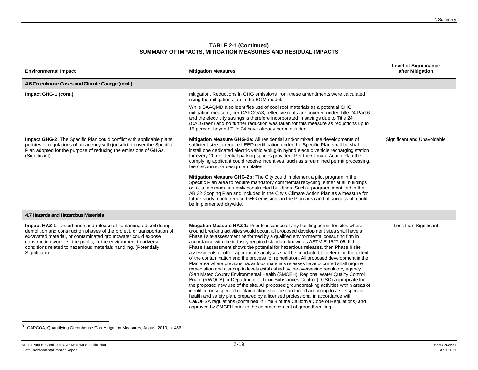| <b>Environmental Impact</b>                                                                                                                                                                                                                                                                                                                                                | <b>Mitigation Measures</b>                                                                                                                                                                                                                                                                                                                                                                                                                                                                                                                                                                                                                                                                                                                                                                                                                                                                                                                                                                                                                                                                                                                                                                                                                                                                                                                                                                             | <b>Level of Significance</b><br>after Mitigation |
|----------------------------------------------------------------------------------------------------------------------------------------------------------------------------------------------------------------------------------------------------------------------------------------------------------------------------------------------------------------------------|--------------------------------------------------------------------------------------------------------------------------------------------------------------------------------------------------------------------------------------------------------------------------------------------------------------------------------------------------------------------------------------------------------------------------------------------------------------------------------------------------------------------------------------------------------------------------------------------------------------------------------------------------------------------------------------------------------------------------------------------------------------------------------------------------------------------------------------------------------------------------------------------------------------------------------------------------------------------------------------------------------------------------------------------------------------------------------------------------------------------------------------------------------------------------------------------------------------------------------------------------------------------------------------------------------------------------------------------------------------------------------------------------------|--------------------------------------------------|
| 4.6 Greenhouse Gases and Climate Change (cont.)                                                                                                                                                                                                                                                                                                                            |                                                                                                                                                                                                                                                                                                                                                                                                                                                                                                                                                                                                                                                                                                                                                                                                                                                                                                                                                                                                                                                                                                                                                                                                                                                                                                                                                                                                        |                                                  |
| Impact GHG-1 (cont.)                                                                                                                                                                                                                                                                                                                                                       | mitigation. Reductions in GHG emissions from these amendments were calculated<br>using the mitigations tab in the BGM model.                                                                                                                                                                                                                                                                                                                                                                                                                                                                                                                                                                                                                                                                                                                                                                                                                                                                                                                                                                                                                                                                                                                                                                                                                                                                           |                                                  |
|                                                                                                                                                                                                                                                                                                                                                                            | While BAAQMD also identifies use of cool roof materials as a potential GHG<br>mitigation measure, per CAPCOA3, reflective roofs are covered under Title 24 Part 6<br>and the electricity savings is therefore incorporated in savings due to Title 24<br>(CALGreen) and no further reduction was taken for this measure as reductions up to<br>15 percent beyond Title 24 have already been included.                                                                                                                                                                                                                                                                                                                                                                                                                                                                                                                                                                                                                                                                                                                                                                                                                                                                                                                                                                                                  |                                                  |
| <b>Impact GHG-2:</b> The Specific Plan could conflict with applicable plans,<br>policies or regulations of an agency with jurisdiction over the Specific<br>Plan adopted for the purpose of reducing the emissions of GHGs.<br>(Significant)                                                                                                                               | Mitigation Measure GHG-2a: All residential and/or mixed use developments of<br>sufficient size to require LEED certification under the Specific Plan shall be shall<br>install one dedicated electric vehicle/plug-in hybrid electric vehicle recharging station<br>for every 20 residential parking spaces provided. Per the Climate Action Plan the<br>complying applicant could receive incentives, such as streamlined permit processing,<br>fee discounts, or design templates.                                                                                                                                                                                                                                                                                                                                                                                                                                                                                                                                                                                                                                                                                                                                                                                                                                                                                                                   | Significant and Unavoidable                      |
|                                                                                                                                                                                                                                                                                                                                                                            | Mitigation Measure GHG-2b: The City could implement a pilot program in the<br>Specific Plan area to require mandatory commercial recycling, either at all buildings<br>or, at a minimum, at newly constructed buildings. Such a program, identified in the<br>AB 32 Scoping Plan and included in the City's Climate Action Plan as a measure for<br>future study, could reduce GHG emissions in the Plan area and, if successful, could<br>be implemented citywide.                                                                                                                                                                                                                                                                                                                                                                                                                                                                                                                                                                                                                                                                                                                                                                                                                                                                                                                                    |                                                  |
| 4.7 Hazards and Hazardous Materials                                                                                                                                                                                                                                                                                                                                        |                                                                                                                                                                                                                                                                                                                                                                                                                                                                                                                                                                                                                                                                                                                                                                                                                                                                                                                                                                                                                                                                                                                                                                                                                                                                                                                                                                                                        |                                                  |
| <b>Impact HAZ-1:</b> Disturbance and release of contaminated soil during<br>demolition and construction phases of the project, or transportation of<br>excavated material, or contaminated groundwater could expose<br>construction workers, the public, or the environment to adverse<br>conditions related to hazardous materials handling. (Potentially<br>Significant) | Mitigation Measure HAZ-1: Prior to issuance of any building permit for sites where<br>ground breaking activities would occur, all proposed development sites shall have a<br>Phase I site assessment performed by a qualified environmental consulting firm in<br>accordance with the industry required standard known as ASTM E 1527-05. If the<br>Phase I assessment shows the potential for hazardous releases, then Phase II site<br>assessments or other appropriate analyses shall be conducted to determine the extent<br>of the contamination and the process for remediation. All proposed development in the<br>Plan area where previous hazardous materials releases have occurred shall require<br>remediation and cleanup to levels established by the overseeing regulatory agency<br>(San Mateo County Environmental Health (SMCEH), Regional Water Quality Control<br>Board (RWQCB) or Department of Toxic Substances Control (DTSC) appropriate for<br>the proposed new use of the site. All proposed groundbreaking activities within areas of<br>identified or suspected contamination shall be conducted according to a site specific<br>health and safety plan, prepared by a licensed professional in accordance with<br>Cal/OHSA regulations (contained in Title 8 of the California Code of Regulations) and<br>approved by SMCEH prior to the commencement of groundbreaking. | Less than Significant                            |

<sup>3</sup> CAPCOA, Quantifying Greenhouse Gas Mitigation Measures, August 2010, p. 456.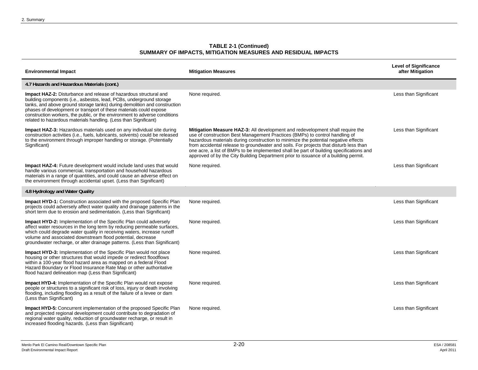| <b>Environmental Impact</b>                                                                                                                                                                                                                                                                                                                                                                                                                           | <b>Mitigation Measures</b>                                                                                                                                                                                                                                                                                                                                                                                                                                                                                                    | <b>Level of Significance</b><br>after Mitigation |
|-------------------------------------------------------------------------------------------------------------------------------------------------------------------------------------------------------------------------------------------------------------------------------------------------------------------------------------------------------------------------------------------------------------------------------------------------------|-------------------------------------------------------------------------------------------------------------------------------------------------------------------------------------------------------------------------------------------------------------------------------------------------------------------------------------------------------------------------------------------------------------------------------------------------------------------------------------------------------------------------------|--------------------------------------------------|
| 4.7 Hazards and Hazardous Materials (cont.)                                                                                                                                                                                                                                                                                                                                                                                                           |                                                                                                                                                                                                                                                                                                                                                                                                                                                                                                                               |                                                  |
| <b>Impact HAZ-2:</b> Disturbance and release of hazardous structural and<br>building components (i.e., asbestos, lead, PCBs, underground storage<br>tanks, and above ground storage tanks) during demolition and construction<br>phases of development or transport of these materials could expose<br>construction workers, the public, or the environment to adverse conditions<br>related to hazardous materials handling. (Less than Significant) | None required.                                                                                                                                                                                                                                                                                                                                                                                                                                                                                                                | Less than Significant                            |
| <b>Impact HAZ-3:</b> Hazardous materials used on any individual site during<br>construction activities (i.e., fuels, lubricants, solvents) could be released<br>to the environment through improper handling or storage. (Potentially<br>Significant)                                                                                                                                                                                                 | Mitigation Measure HAZ-3: All development and redevelopment shall require the<br>use of construction Best Management Practices (BMPs) to control handling of<br>hazardous materials during construction to minimize the potential negative effects<br>from accidental release to groundwater and soils. For projects that disturb less than<br>one acre, a list of BMPs to be implemented shall be part of building specifications and<br>approved of by the City Building Department prior to issuance of a building permit. | Less than Significant                            |
| Impact HAZ-4: Future development would include land uses that would<br>handle various commercial, transportation and household hazardous<br>materials in a range of quantities, and could cause an adverse effect on<br>the environment through accidental upset. (Less than Significant)                                                                                                                                                             | None required.                                                                                                                                                                                                                                                                                                                                                                                                                                                                                                                | Less than Significant                            |
| 4.8 Hydrology and Water Quality                                                                                                                                                                                                                                                                                                                                                                                                                       |                                                                                                                                                                                                                                                                                                                                                                                                                                                                                                                               |                                                  |
| <b>Impact HYD-1:</b> Construction associated with the proposed Specific Plan<br>projects could adversely affect water quality and drainage patterns in the<br>short term due to erosion and sedimentation. (Less than Significant)                                                                                                                                                                                                                    | None required.                                                                                                                                                                                                                                                                                                                                                                                                                                                                                                                | Less than Significant                            |
| <b>Impact HYD-2:</b> Implementation of the Specific Plan could adversely<br>affect water resources in the long term by reducing permeable surfaces,<br>which could degrade water quality in receiving waters, increase runoff<br>volume and associated downstream flood potential, decrease<br>groundwater recharge, or alter drainage patterns. (Less than Significant)                                                                              | None required.                                                                                                                                                                                                                                                                                                                                                                                                                                                                                                                | Less than Significant                            |
| <b>Impact HYD-3:</b> Implementation of the Specific Plan would not place<br>housing or other structures that would impede or redirect floodflows<br>within a 100-year flood hazard area as mapped on a federal Flood<br>Hazard Boundary or Flood Insurance Rate Map or other authoritative<br>flood hazard delineation map (Less than Significant)                                                                                                    | None required.                                                                                                                                                                                                                                                                                                                                                                                                                                                                                                                | Less than Significant                            |
| <b>Impact HYD-4:</b> Implementation of the Specific Plan would not expose<br>people or structures to a significant risk of loss, injury or death involving<br>flooding, including flooding as a result of the failure of a levee or dam<br>(Less than Significant)                                                                                                                                                                                    | None required.                                                                                                                                                                                                                                                                                                                                                                                                                                                                                                                | Less than Significant                            |
| Impact HYD-5: Concurrent implementation of the proposed Specific Plan<br>and projected regional development could contribute to degradation of<br>regional water quality, reduction of groundwater recharge, or result in<br>increased flooding hazards. (Less than Significant)                                                                                                                                                                      | None required.                                                                                                                                                                                                                                                                                                                                                                                                                                                                                                                | Less than Significant                            |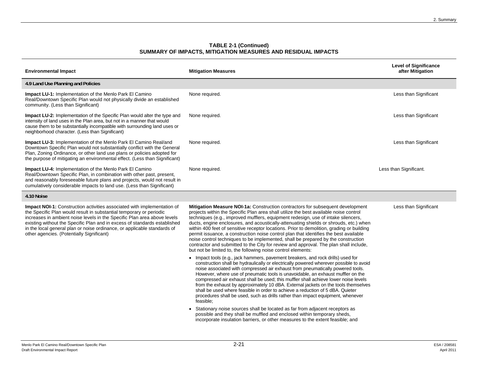| <b>Environmental Impact</b>                                                                                                                                                                                                                                                                                  | <b>Mitigation Measures</b> | <b>Level of Significance</b><br>after Mitigation |
|--------------------------------------------------------------------------------------------------------------------------------------------------------------------------------------------------------------------------------------------------------------------------------------------------------------|----------------------------|--------------------------------------------------|
| 4.9 Land Use Planning and Policies                                                                                                                                                                                                                                                                           |                            |                                                  |
| <b>Impact LU-1:</b> Implementation of the Menlo Park El Camino<br>Real/Downtown Specific Plan would not physically divide an established<br>community. (Less than Significant)                                                                                                                               | None required.             | Less than Significant                            |
| <b>Impact LU-2:</b> Implementation of the Specific Plan would alter the type and<br>intensity of land uses in the Plan area, but not in a manner that would<br>cause them to be substantially incompatible with surrounding land uses or<br>neighborhood character. (Less than Significant)                  | None required.             | Less than Significant                            |
| <b>Impact LU-3:</b> Implementation of the Menlo Park El Camino Real/and<br>Downtown Specific Plan would not substantially conflict with the General<br>Plan, Zoning Ordinance, or other land use plans or policies adopted for<br>the purpose of mitigating an environmental effect. (Less than Significant) | None required.             | Less than Significant                            |
| <b>Impact LU-4:</b> Implementation of the Menlo Park El Camino<br>Real/Downtown Specific Plan, in combination with other past, present,<br>and reasonably foreseeable future plans and projects, would not result in<br>cumulatively considerable impacts to land use. (Less than Significant)               | None required.             | Less than Significant.                           |

#### **4.10 Noise**

**Impact NOI-1:** Construction activities associated with implementation of the Specific Plan would result in substantial temporary or periodic increases in ambient noise levels in the Specific Plan area above levels existing without the Specific Plan and in excess of standards established in the local general plan or noise ordinance, or applicable standards of other agencies. (Potentially Significant)

**Mitigation Measure NOI-1a:** Construction contractors for subsequent development projects within the Specific Plan area shall utilize the best available noise control techniques (e.g., improved mufflers, equipment redesign, use of intake silencers, ducts, engine enclosures, and acoustically-attenuating shields or shrouds, etc.) when within 400 feet of sensitive receptor locations. Prior to demolition, grading or building permit issuance, a construction noise control plan that identifies the best available noise control techniques to be implemented, shall be prepared by the construction contractor and submitted to the City for review and approval. The plan shall include, but not be limited to, the following noise control elements:

- Impact tools (e.g., jack hammers, pavement breakers, and rock drills) used for construction shall be hydraulically or electrically powered wherever possible to avoid noise associated with compressed air exhaust from pneumatically powered tools. However, where use of pneumatic tools is unavoidable, an exhaust muffler on the compressed air exhaust shall be used; this muffler shall achieve lower noise levels from the exhaust by approximately 10 dBA. External jackets on the tools themselves shall be used where feasible in order to achieve a reduction of 5 dBA. Quieter procedures shall be used, such as drills rather than impact equipment, whenever feasible;
- Stationary noise sources shall be located as far from adjacent receptors as possible and they shall be muffled and enclosed within temporary sheds, incorporate insulation barriers, or other measures to the extent feasible; and

Less than Significant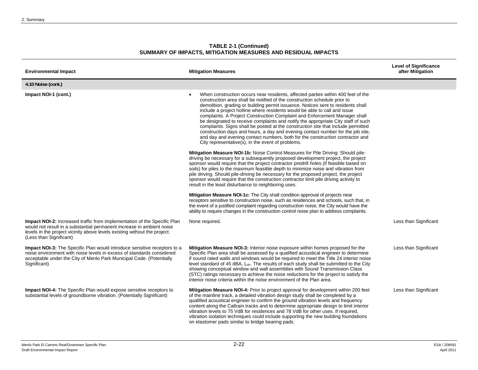| <b>Environmental Impact</b>                                                                                                                                                                                                                               | <b>Mitigation Measures</b>                                                                                                                                                                                                                                                                                                                                                                                                                                                                                                                                                                                                                                                                                                                                                                                                   | <b>Level of Significance</b><br>after Mitigation |
|-----------------------------------------------------------------------------------------------------------------------------------------------------------------------------------------------------------------------------------------------------------|------------------------------------------------------------------------------------------------------------------------------------------------------------------------------------------------------------------------------------------------------------------------------------------------------------------------------------------------------------------------------------------------------------------------------------------------------------------------------------------------------------------------------------------------------------------------------------------------------------------------------------------------------------------------------------------------------------------------------------------------------------------------------------------------------------------------------|--------------------------------------------------|
| 4.10 Noise (cont.)                                                                                                                                                                                                                                        |                                                                                                                                                                                                                                                                                                                                                                                                                                                                                                                                                                                                                                                                                                                                                                                                                              |                                                  |
| Impact NOI-1 (cont.)                                                                                                                                                                                                                                      | When construction occurs near residents, affected parties within 400 feet of the<br>$\bullet$<br>construction area shall be notified of the construction schedule prior to<br>demolition, grading or building permit issuance. Notices sent to residents shall<br>include a project hotline where residents would be able to call and issue<br>complaints. A Project Construction Complaint and Enforcement Manager shall<br>be designated to receive complaints and notify the appropriate City staff of such<br>complaints. Signs shall be posted at the construction site that include permitted<br>construction days and hours, a day and evening contact number for the job site,<br>and day and evening contact numbers, both for the construction contractor and<br>City representative(s), in the event of problems. |                                                  |
|                                                                                                                                                                                                                                                           | <b>Mitigation Measure NOI-1b:</b> Noise Control Measures for Pile Driving: Should pile-<br>driving be necessary for a subsequently proposed development project, the project<br>sponsor would require that the project contractor predrill holes (if feasible based on<br>soils) for piles to the maximum feasible depth to minimize noise and vibration from<br>pile driving. Should pile-driving be necessary for the proposed project, the project<br>sponsor would require that the construction contractor limit pile driving activity to<br>result in the least disturbance to neighboring uses.                                                                                                                                                                                                                       |                                                  |
|                                                                                                                                                                                                                                                           | <b>Mitigation Measure NOI-1c:</b> The City shall condition approval of projects near<br>receptors sensitive to construction noise, such as residences and schools, such that, in<br>the event of a justified complaint regarding construction noise, the City would have the<br>ability to require changes in the construction control noise plan to address complaints.                                                                                                                                                                                                                                                                                                                                                                                                                                                     |                                                  |
| Impact NOI-2: Increased traffic from implementation of the Specific Plan<br>would not result in a substantial permanent increase in ambient noise<br>levels in the project vicinity above levels existing without the project.<br>(Less than Significant) | None required.                                                                                                                                                                                                                                                                                                                                                                                                                                                                                                                                                                                                                                                                                                                                                                                                               | Less than Significant                            |
| <b>Impact NOI-3:</b> The Specific Plan would introduce sensitive receptors to a<br>noise environment with noise levels in excess of standards considered<br>acceptable under the City of Menlo Park Municipal Code. (Potentially<br>Significant)          | Mitigation Measure NOI-3: Interior noise exposure within homes proposed for the<br>Specific Plan area shall be assessed by a qualified acoustical engineer to determine<br>if sound rated walls and windows would be required to meet the Title 24 interior noise<br>level standard of 45 dBA, L <sub>dn</sub> . The results of each study shall be submitted to the City<br>showing conceptual window and wall assemblies with Sound Transmission Class<br>(STC) ratings necessary to achieve the noise reductions for the project to satisfy the<br>interior noise criteria within the noise environment of the Plan area.                                                                                                                                                                                                 | Less than Significant                            |
| Impact NOI-4: The Specific Plan would expose sensitive receptors to<br>substantial levels of groundborne vibration. (Potentially Significant)                                                                                                             | Mitigation Measure NOI-4: Prior to project approval for development within 200 feet<br>of the mainline track, a detailed vibration design study shall be completed by a<br>qualified acoustical engineer to confirm the ground vibration levels and frequency<br>content along the Caltrain tracks and to determine appropriate design to limit interior<br>vibration levels to 75 VdB for residences and 78 VdB for other uses. If required,<br>vibration isolation techniques could include supporting the new building foundations<br>on elastomer pads similar to bridge bearing pads.                                                                                                                                                                                                                                   | Less than Significant                            |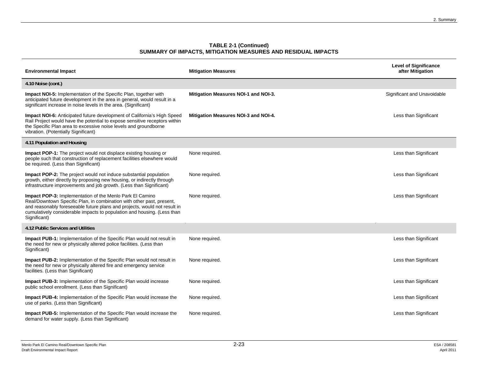| <b>Environmental Impact</b>                                                                                                                                                                                                                                                                                      | <b>Mitigation Measures</b>           | <b>Level of Significance</b><br>after Mitigation |
|------------------------------------------------------------------------------------------------------------------------------------------------------------------------------------------------------------------------------------------------------------------------------------------------------------------|--------------------------------------|--------------------------------------------------|
| 4.10 Noise (cont.)                                                                                                                                                                                                                                                                                               |                                      |                                                  |
| <b>Impact NOI-5:</b> Implementation of the Specific Plan, together with<br>anticipated future development in the area in general, would result in a<br>significant increase in noise levels in the area. (Significant)                                                                                           | Mitigation Measures NOI-1 and NOI-3. | Significant and Unavoidable                      |
| Impact NOI-6: Anticipated future development of California's High Speed<br>Rail Project would have the potential to expose sensitive receptors within<br>the Specific Plan area to excessive noise levels and groundborne<br>vibration. (Potentially Significant)                                                | Mitigation Measures NOI-3 and NOI-4. | Less than Significant                            |
| 4.11 Population and Housing                                                                                                                                                                                                                                                                                      |                                      |                                                  |
| <b>Impact POP-1:</b> The project would not displace existing housing or<br>people such that construction of replacement facilities elsewhere would<br>be required. (Less than Significant)                                                                                                                       | None required.                       | Less than Significant                            |
| <b>Impact POP-2:</b> The project would not induce substantial population<br>growth, either directly by proposing new housing, or indirectly through<br>infrastructure improvements and job growth. (Less than Significant)                                                                                       | None required.                       | Less than Significant                            |
| <b>Impact POP-3:</b> Implementation of the Menlo Park El Camino<br>Real/Downtown Specific Plan, in combination with other past, present,<br>and reasonably foreseeable future plans and projects, would not result in<br>cumulatively considerable impacts to population and housing. (Less than<br>Significant) | None required.                       | Less than Significant                            |
| 4.12 Public Services and Utilities                                                                                                                                                                                                                                                                               |                                      |                                                  |
| <b>Impact PUB-1:</b> Implementation of the Specific Plan would not result in<br>the need for new or physically altered police facilities. (Less than<br>Significant)                                                                                                                                             | None required.                       | Less than Significant                            |
| <b>Impact PUB-2:</b> Implementation of the Specific Plan would not result in<br>the need for new or physically altered fire and emergency service<br>facilities. (Less than Significant)                                                                                                                         | None required.                       | Less than Significant                            |
| <b>Impact PUB-3:</b> Implementation of the Specific Plan would increase<br>public school enrollment. (Less than Significant)                                                                                                                                                                                     | None required.                       | Less than Significant                            |
| Impact PUB-4: Implementation of the Specific Plan would increase the<br>use of parks. (Less than Significant)                                                                                                                                                                                                    | None required.                       | Less than Significant                            |
| <b>Impact PUB-5:</b> Implementation of the Specific Plan would increase the<br>demand for water supply. (Less than Significant)                                                                                                                                                                                  | None required.                       | Less than Significant                            |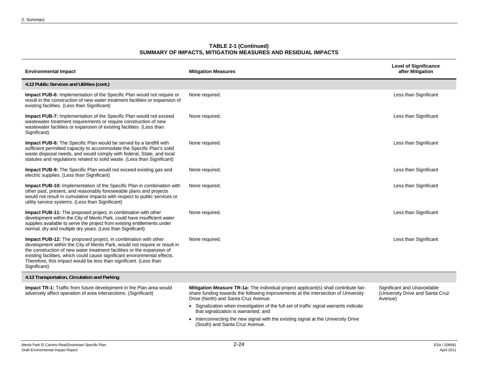| <b>Environmental Impact</b>                                                                                                                                                                                                                                                                                                                                                             | <b>Mitigation Measures</b>                                                                                                                                                                                                                                                                                                                           | <b>Level of Significance</b><br>after Mitigation                           |
|-----------------------------------------------------------------------------------------------------------------------------------------------------------------------------------------------------------------------------------------------------------------------------------------------------------------------------------------------------------------------------------------|------------------------------------------------------------------------------------------------------------------------------------------------------------------------------------------------------------------------------------------------------------------------------------------------------------------------------------------------------|----------------------------------------------------------------------------|
| 4.12 Public Services and Utilities (cont.)                                                                                                                                                                                                                                                                                                                                              |                                                                                                                                                                                                                                                                                                                                                      |                                                                            |
| Impact PUB-6: Implementation of the Specific Plan would not require or<br>result in the construction of new water treatment facilities or expansion of<br>existing facilities. (Less than Significant)                                                                                                                                                                                  | None required.                                                                                                                                                                                                                                                                                                                                       | Less than Significant                                                      |
| Impact PUB-7: Implementation of the Specific Plan would not exceed<br>wastewater treatment requirements or require construction of new<br>wastewater facilities or expansion of existing facilities. (Less than<br>Significant)                                                                                                                                                         | None required.                                                                                                                                                                                                                                                                                                                                       | Less than Significant                                                      |
| Impact PUB-8: The Specific Plan would be served by a landfill with<br>sufficient permitted capacity to accommodate the Specific Plan's solid<br>waste disposal needs, and would comply with federal, State, and local<br>statutes and regulations related to solid waste. (Less than Significant)                                                                                       | None required.                                                                                                                                                                                                                                                                                                                                       | Less than Significant                                                      |
| Impact PUB-9: The Specific Plan would not exceed existing gas and<br>electric supplies. (Less than Significant)                                                                                                                                                                                                                                                                         | None required.                                                                                                                                                                                                                                                                                                                                       | Less than Significant                                                      |
| Impact PUB-10: Implementation of the Specific Plan in combination with<br>other past, present, and reasonably foreseeable plans and projects<br>would not result in cumulative impacts with respect to public services or<br>utility service systems. (Less than Significant)                                                                                                           | None required.                                                                                                                                                                                                                                                                                                                                       | Less than Significant                                                      |
| <b>Impact PUB-11:</b> The proposed project, in combination with other<br>development within the City of Menlo Park, could have insufficient water<br>supplies available to serve the project from existing entitlements under<br>normal, dry and multiple dry years. (Less than Significant)                                                                                            | None required.                                                                                                                                                                                                                                                                                                                                       | Less than Significant                                                      |
| Impact PUB-12: The proposed project, in combination with other<br>development within the City of Menlo Park, would not require or result in<br>the construction of new water treatment facilities or the expansion of<br>existing facilities, which could cause significant environmental effects.<br>Therefore, this impact would be less than significant. (Less than<br>Significant) | None required.                                                                                                                                                                                                                                                                                                                                       | Less than Significant                                                      |
| 4.13 Transportation, Circulation and Parking                                                                                                                                                                                                                                                                                                                                            |                                                                                                                                                                                                                                                                                                                                                      |                                                                            |
| Impact TR-1: Traffic from future development in the Plan area would<br>adversely affect operation of area intersections. (Significant)                                                                                                                                                                                                                                                  | Mitigation Measure TR-1a: The individual project applicant(s) shall contribute fair-<br>share funding towards the following improvements at the intersection of University<br>Drive (North) and Santa Cruz Avenue:<br>• Signalization when investigation of the full set of traffic signal warrants indicate<br>that signalization is warranted; and | Significant and Unavoidable<br>(University Drive and Santa Cruz<br>Avenue) |
|                                                                                                                                                                                                                                                                                                                                                                                         | • Interconnecting the new signal with the existing signal at the University Drive<br>(South) and Santa Cruz Avenue.                                                                                                                                                                                                                                  |                                                                            |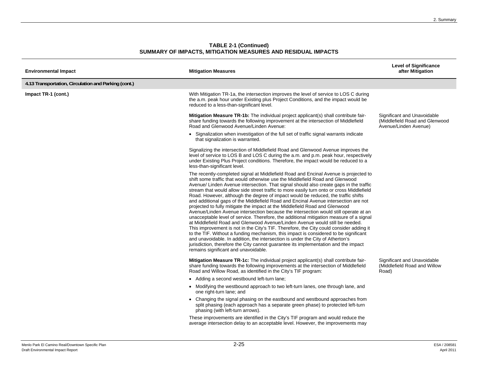| <b>Environmental Impact</b>                          | <b>Mitigation Measures</b>                                                                                                                                                                                                                                                                                                                                                                                                                                                                                                                                                                                                                                                                                                                                                                                                                                                                                                                                                                                                                                                                                                                                                                                                                                                                     | <b>Level of Significance</b><br>after Mitigation                                       |
|------------------------------------------------------|------------------------------------------------------------------------------------------------------------------------------------------------------------------------------------------------------------------------------------------------------------------------------------------------------------------------------------------------------------------------------------------------------------------------------------------------------------------------------------------------------------------------------------------------------------------------------------------------------------------------------------------------------------------------------------------------------------------------------------------------------------------------------------------------------------------------------------------------------------------------------------------------------------------------------------------------------------------------------------------------------------------------------------------------------------------------------------------------------------------------------------------------------------------------------------------------------------------------------------------------------------------------------------------------|----------------------------------------------------------------------------------------|
| 4.13 Transportation, Circulation and Parking (cont.) |                                                                                                                                                                                                                                                                                                                                                                                                                                                                                                                                                                                                                                                                                                                                                                                                                                                                                                                                                                                                                                                                                                                                                                                                                                                                                                |                                                                                        |
| Impact TR-1 (cont.)                                  | With Mitigation TR-1a, the intersection improves the level of service to LOS C during<br>the a.m. peak hour under Existing plus Project Conditions, and the impact would be<br>reduced to a less-than-significant level.                                                                                                                                                                                                                                                                                                                                                                                                                                                                                                                                                                                                                                                                                                                                                                                                                                                                                                                                                                                                                                                                       |                                                                                        |
|                                                      | Mitigation Measure TR-1b: The individual project applicant(s) shall contribute fair-<br>share funding towards the following improvement at the intersection of Middlefield<br>Road and Glenwood Avenue/Linden Avenue:                                                                                                                                                                                                                                                                                                                                                                                                                                                                                                                                                                                                                                                                                                                                                                                                                                                                                                                                                                                                                                                                          | Significant and Unavoidable<br>(Middlefield Road and Glenwood<br>Avenue/Linden Avenue) |
|                                                      | • Signalization when investigation of the full set of traffic signal warrants indicate<br>that signalization is warranted.                                                                                                                                                                                                                                                                                                                                                                                                                                                                                                                                                                                                                                                                                                                                                                                                                                                                                                                                                                                                                                                                                                                                                                     |                                                                                        |
|                                                      | Signalizing the intersection of Middlefield Road and Glenwood Avenue improves the<br>level of service to LOS B and LOS C during the a.m. and p.m. peak hour, respectively<br>under Existing Plus Project conditions. Therefore, the impact would be reduced to a<br>less-than-significant level.                                                                                                                                                                                                                                                                                                                                                                                                                                                                                                                                                                                                                                                                                                                                                                                                                                                                                                                                                                                               |                                                                                        |
|                                                      | The recently-completed signal at Middlefield Road and Encinal Avenue is projected to<br>shift some traffic that would otherwise use the Middlefield Road and Glenwood<br>Avenue/ Linden Avenue intersection. That signal should also create gaps in the traffic<br>stream that would allow side street traffic to more easily turn onto or cross Middlefield<br>Road. However, although the degree of impact would be reduced, the traffic shifts<br>and additional gaps of the Middlefield Road and Encinal Avenue intersection are not<br>projected to fully mitigate the impact at the Middlefield Road and Glenwood<br>Avenue/Linden Avenue intersection because the intersection would still operate at an<br>unacceptable level of service. Therefore, the additional mitigation measure of a signal<br>at Middlefield Road and Glenwood Avenue/Linden Avenue would still be needed.<br>This improvement is not in the City's TIF. Therefore, the City could consider adding it<br>to the TIF. Without a funding mechanism, this impact is considered to be significant<br>and unavoidable. In addition, the intersection is under the City of Atherton's<br>jurisdiction, therefore the City cannot guarantee its implementation and the impact<br>remains significant and unavoidable. |                                                                                        |
|                                                      | <b>Mitigation Measure TR-1c:</b> The individual project applicant(s) shall contribute fair-<br>share funding towards the following improvements at the intersection of Middlefield<br>Road and Willow Road, as identified in the City's TIF program:                                                                                                                                                                                                                                                                                                                                                                                                                                                                                                                                                                                                                                                                                                                                                                                                                                                                                                                                                                                                                                           | Significant and Unavoidable<br>(Middlefield Road and Willow<br>Road)                   |
|                                                      | • Adding a second westbound left-turn lane;                                                                                                                                                                                                                                                                                                                                                                                                                                                                                                                                                                                                                                                                                                                                                                                                                                                                                                                                                                                                                                                                                                                                                                                                                                                    |                                                                                        |
|                                                      | • Modifying the westbound approach to two left-turn lanes, one through lane, and<br>one right-turn lane; and                                                                                                                                                                                                                                                                                                                                                                                                                                                                                                                                                                                                                                                                                                                                                                                                                                                                                                                                                                                                                                                                                                                                                                                   |                                                                                        |
|                                                      | • Changing the signal phasing on the eastbound and westbound approaches from<br>split phasing (each approach has a separate green phase) to protected left-turn<br>phasing (with left-turn arrows).                                                                                                                                                                                                                                                                                                                                                                                                                                                                                                                                                                                                                                                                                                                                                                                                                                                                                                                                                                                                                                                                                            |                                                                                        |
|                                                      | These improvements are identified in the City's TIF program and would reduce the<br>average intersection delay to an acceptable level. However, the improvements may                                                                                                                                                                                                                                                                                                                                                                                                                                                                                                                                                                                                                                                                                                                                                                                                                                                                                                                                                                                                                                                                                                                           |                                                                                        |
|                                                      |                                                                                                                                                                                                                                                                                                                                                                                                                                                                                                                                                                                                                                                                                                                                                                                                                                                                                                                                                                                                                                                                                                                                                                                                                                                                                                |                                                                                        |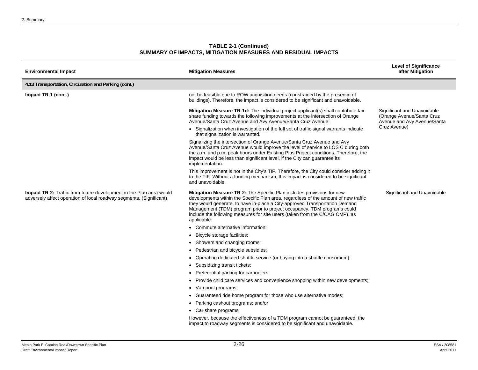| <b>TABLE 2-1 (Continued)</b>                                 |
|--------------------------------------------------------------|
| SUMMARY OF IMPACTS, MITIGATION MEASURES AND RESIDUAL IMPACTS |

| <b>Environmental Impact</b>                                                                                                                       | <b>Mitigation Measures</b>                                                                                                                                                                                                                                                                                                                                                                                             | <b>Level of Significance</b><br>after Mitigation                                        |
|---------------------------------------------------------------------------------------------------------------------------------------------------|------------------------------------------------------------------------------------------------------------------------------------------------------------------------------------------------------------------------------------------------------------------------------------------------------------------------------------------------------------------------------------------------------------------------|-----------------------------------------------------------------------------------------|
| 4.13 Transportation, Circulation and Parking (cont.)                                                                                              |                                                                                                                                                                                                                                                                                                                                                                                                                        |                                                                                         |
| Impact TR-1 (cont.)                                                                                                                               | not be feasible due to ROW acquisition needs (constrained by the presence of<br>buildings). Therefore, the impact is considered to be significant and unavoidable.                                                                                                                                                                                                                                                     |                                                                                         |
|                                                                                                                                                   | <b>Mitigation Measure TR-1d:</b> The individual project applicant(s) shall contribute fair-<br>share funding towards the following improvements at the intersection of Orange<br>Avenue/Santa Cruz Avenue and Avy Avenue/Santa Cruz Avenue:                                                                                                                                                                            | Significant and Unavoidable<br>(Orange Avenue/Santa Cruz<br>Avenue and Avy Avenue/Santa |
|                                                                                                                                                   | • Signalization when investigation of the full set of traffic signal warrants indicate<br>that signalization is warranted.                                                                                                                                                                                                                                                                                             | Cruz Avenue)                                                                            |
|                                                                                                                                                   | Signalizing the intersection of Orange Avenue/Santa Cruz Avenue and Avy<br>Avenue/Santa Cruz Avenue would improve the level of service to LOS C during both<br>the a.m. and p.m. peak hours under Existing Plus Project conditions. Therefore, the<br>impact would be less than significant level, if the City can guarantee its<br>implementation.                                                                    |                                                                                         |
|                                                                                                                                                   | This improvement is not in the City's TIF. Therefore, the City could consider adding it<br>to the TIF. Without a funding mechanism, this impact is considered to be significant<br>and unavoidable.                                                                                                                                                                                                                    |                                                                                         |
| <b>Impact TR-2:</b> Traffic from future development in the Plan area would<br>adversely affect operation of local roadway segments. (Significant) | Mitigation Measure TR-2: The Specific Plan includes provisions for new<br>developments within the Specific Plan area, regardless of the amount of new traffic<br>they would generate, to have in-place a City-approved Transportation Demand<br>Management (TDM) program prior to project occupancy. TDM programs could<br>include the following measures for site users (taken from the C/CAG CMP), as<br>applicable: | Significant and Unavoidable                                                             |
|                                                                                                                                                   | • Commute alternative information;                                                                                                                                                                                                                                                                                                                                                                                     |                                                                                         |
|                                                                                                                                                   | • Bicycle storage facilities;                                                                                                                                                                                                                                                                                                                                                                                          |                                                                                         |
|                                                                                                                                                   | • Showers and changing rooms;                                                                                                                                                                                                                                                                                                                                                                                          |                                                                                         |
|                                                                                                                                                   | • Pedestrian and bicycle subsidies;                                                                                                                                                                                                                                                                                                                                                                                    |                                                                                         |
|                                                                                                                                                   | Operating dedicated shuttle service (or buying into a shuttle consortium);                                                                                                                                                                                                                                                                                                                                             |                                                                                         |
|                                                                                                                                                   | • Subsidizing transit tickets;                                                                                                                                                                                                                                                                                                                                                                                         |                                                                                         |
|                                                                                                                                                   | • Preferential parking for carpoolers;                                                                                                                                                                                                                                                                                                                                                                                 |                                                                                         |
|                                                                                                                                                   | • Provide child care services and convenience shopping within new developments;                                                                                                                                                                                                                                                                                                                                        |                                                                                         |
|                                                                                                                                                   | • Van pool programs;                                                                                                                                                                                                                                                                                                                                                                                                   |                                                                                         |
|                                                                                                                                                   | • Guaranteed ride home program for those who use alternative modes;                                                                                                                                                                                                                                                                                                                                                    |                                                                                         |
|                                                                                                                                                   | • Parking cashout programs; and/or                                                                                                                                                                                                                                                                                                                                                                                     |                                                                                         |
|                                                                                                                                                   | • Car share programs.                                                                                                                                                                                                                                                                                                                                                                                                  |                                                                                         |
|                                                                                                                                                   | However, because the effectiveness of a TDM pregram cannot be quaranteed, the                                                                                                                                                                                                                                                                                                                                          |                                                                                         |

However, because the effectiveness of a TDM program cannot be guaranteed, the impact to roadway segments is considered to be significant and unavoidable.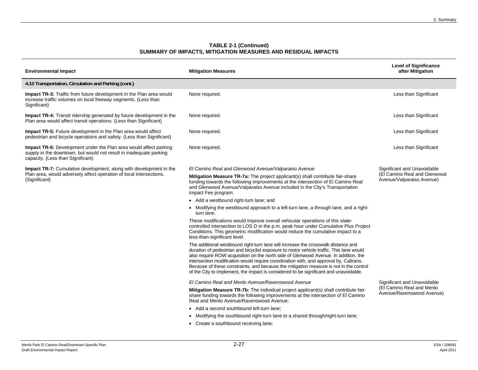| <b>Environmental Impact</b>                                                                                                                                                         | <b>Mitigation Measures</b>                                                                                                                                                                                                                                                                                                                                                                                                                                                                                                                      | <b>Level of Significance</b><br>after Mitigation                                      |
|-------------------------------------------------------------------------------------------------------------------------------------------------------------------------------------|-------------------------------------------------------------------------------------------------------------------------------------------------------------------------------------------------------------------------------------------------------------------------------------------------------------------------------------------------------------------------------------------------------------------------------------------------------------------------------------------------------------------------------------------------|---------------------------------------------------------------------------------------|
| 4.13 Transportation, Circulation and Parking (cont.)                                                                                                                                |                                                                                                                                                                                                                                                                                                                                                                                                                                                                                                                                                 |                                                                                       |
| Impact TR-3: Traffic from future development in the Plan area would<br>increase traffic volumes on local freeway segments. (Less than<br>Significant)                               | None required.                                                                                                                                                                                                                                                                                                                                                                                                                                                                                                                                  | Less than Significant                                                                 |
| <b>Impact TR-4:</b> Transit ridership generated by future development in the<br>Plan area would affect transit operations. (Less than Significant)                                  | None required.                                                                                                                                                                                                                                                                                                                                                                                                                                                                                                                                  | Less than Significant                                                                 |
| <b>Impact TR-5:</b> Future development in the Plan area would affect<br>pedestrian and bicycle operations and safety. (Less than Significant)                                       | None required.                                                                                                                                                                                                                                                                                                                                                                                                                                                                                                                                  | Less than Significant                                                                 |
| <b>Impact TR-6:</b> Development under the Plan area would affect parking<br>supply in the downtown, but would not result in inadequate parking<br>capacity. (Less than Significant) | None required.                                                                                                                                                                                                                                                                                                                                                                                                                                                                                                                                  | Less than Significant                                                                 |
| <b>Impact TR-7:</b> Cumulative development, along with development in the                                                                                                           | El Camino Real and Glenwood Avenue/Valparaiso Avenue                                                                                                                                                                                                                                                                                                                                                                                                                                                                                            | Significant and Unavoidable                                                           |
| Plan area, would adversely affect operation of local intersections.<br>(Significant)                                                                                                | Mitigation Measure TR-7a: The project applicant(s) shall contribute fair-share<br>funding towards the following improvements at the intersection of El Camino Real<br>and Glenwood Avenue/Valparaiso Avenue included in the City's Transportation<br>Impact Fee program:                                                                                                                                                                                                                                                                        | (El Camino Real and Glenwood<br>Avenue/Valparaiso Avenue)                             |
|                                                                                                                                                                                     | • Add a westbound right-turn lane; and                                                                                                                                                                                                                                                                                                                                                                                                                                                                                                          |                                                                                       |
|                                                                                                                                                                                     | • Modifying the westbound approach to a left-turn lane, a through lane, and a right-<br>turn lane.                                                                                                                                                                                                                                                                                                                                                                                                                                              |                                                                                       |
|                                                                                                                                                                                     | These modifications would improve overall vehicular operations of this state-<br>controlled intersection to LOS D in the p.m. peak hour under Cumulative Plus Project<br>Conditions. This geometric modification would reduce the cumulative impact to a<br>less-than-significant level.                                                                                                                                                                                                                                                        |                                                                                       |
|                                                                                                                                                                                     | The additional westbound right-turn lane will increase the crosswalk distance and<br>duration of pedestrian and bicyclist exposure to motor vehicle traffic. This lane would<br>also require ROW acquisition on the north side of Glenwood Avenue. In addition, the<br>intersection modification would require coordination with, and approval by, Caltrans.<br>Because of these constraints, and because the mitigation measure is not in the control<br>of the City to implement, the impact is considered to be significant and unavoidable. |                                                                                       |
|                                                                                                                                                                                     | El Camino Real and Menlo Avenue/Ravenswood Avenue                                                                                                                                                                                                                                                                                                                                                                                                                                                                                               | Significant and Unavoidable<br>(El Camino Real and Menlo<br>Avenue/Ravenswood Avenue) |
|                                                                                                                                                                                     | Mitigation Measure TR-7b: The individual project applicant(s) shall contribute fair-<br>share funding towards the following improvements at the intersection of El Camino<br>Real and Menlo Avenue/Ravenswood Avenue:                                                                                                                                                                                                                                                                                                                           |                                                                                       |
|                                                                                                                                                                                     | • Add a second southbound left-turn lane;                                                                                                                                                                                                                                                                                                                                                                                                                                                                                                       |                                                                                       |
|                                                                                                                                                                                     | • Modifying the southbound right-turn lane to a shared through/right-turn lane;                                                                                                                                                                                                                                                                                                                                                                                                                                                                 |                                                                                       |
|                                                                                                                                                                                     | • Create a southbound receiving lane;                                                                                                                                                                                                                                                                                                                                                                                                                                                                                                           |                                                                                       |
|                                                                                                                                                                                     |                                                                                                                                                                                                                                                                                                                                                                                                                                                                                                                                                 |                                                                                       |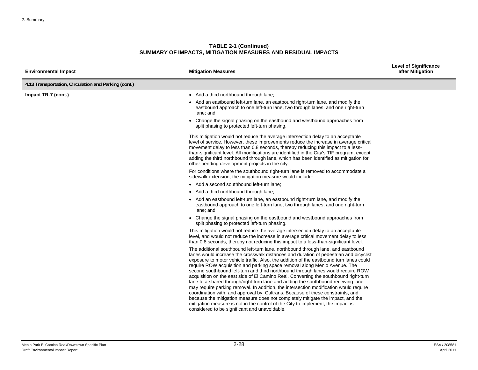| <b>TABLE 2-1 (Continued)</b>                                 |  |
|--------------------------------------------------------------|--|
| SUMMARY OF IMPACTS, MITIGATION MEASURES AND RESIDUAL IMPACTS |  |

| <b>Environmental Impact</b>                          | <b>Mitigation Measures</b>                                                                                                                                                                                                                                                                                                                                                                                                                                                                                                                                                                                                                                                                                                                                                                                                                                                                                                                                                                                             | <b>Level of Significance</b><br>after Mitigation |
|------------------------------------------------------|------------------------------------------------------------------------------------------------------------------------------------------------------------------------------------------------------------------------------------------------------------------------------------------------------------------------------------------------------------------------------------------------------------------------------------------------------------------------------------------------------------------------------------------------------------------------------------------------------------------------------------------------------------------------------------------------------------------------------------------------------------------------------------------------------------------------------------------------------------------------------------------------------------------------------------------------------------------------------------------------------------------------|--------------------------------------------------|
| 4.13 Transportation, Circulation and Parking (cont.) |                                                                                                                                                                                                                                                                                                                                                                                                                                                                                                                                                                                                                                                                                                                                                                                                                                                                                                                                                                                                                        |                                                  |
| Impact TR-7 (cont.)                                  | • Add a third northbound through lane;                                                                                                                                                                                                                                                                                                                                                                                                                                                                                                                                                                                                                                                                                                                                                                                                                                                                                                                                                                                 |                                                  |
|                                                      | • Add an eastbound left-turn lane, an eastbound right-turn lane, and modify the<br>eastbound approach to one left-turn lane, two through lanes, and one right-turn<br>lane: and                                                                                                                                                                                                                                                                                                                                                                                                                                                                                                                                                                                                                                                                                                                                                                                                                                        |                                                  |
|                                                      | • Change the signal phasing on the eastbound and westbound approaches from<br>split phasing to protected left-turn phasing.                                                                                                                                                                                                                                                                                                                                                                                                                                                                                                                                                                                                                                                                                                                                                                                                                                                                                            |                                                  |
|                                                      | This mitigation would not reduce the average intersection delay to an acceptable<br>level of service. However, these improvements reduce the increase in average critical<br>movement delay to less than 0.8 seconds, thereby reducing this impact to a less-<br>than-significant level. All modifications are identified in the City's TIF program, except<br>adding the third northbound through lane, which has been identified as mitigation for<br>other pending development projects in the city.                                                                                                                                                                                                                                                                                                                                                                                                                                                                                                                |                                                  |
|                                                      | For conditions where the southbound right-turn lane is removed to accommodate a<br>sidewalk extension, the mitigation measure would include:                                                                                                                                                                                                                                                                                                                                                                                                                                                                                                                                                                                                                                                                                                                                                                                                                                                                           |                                                  |
|                                                      | • Add a second southbound left-turn lane;                                                                                                                                                                                                                                                                                                                                                                                                                                                                                                                                                                                                                                                                                                                                                                                                                                                                                                                                                                              |                                                  |
|                                                      | • Add a third northbound through lane;                                                                                                                                                                                                                                                                                                                                                                                                                                                                                                                                                                                                                                                                                                                                                                                                                                                                                                                                                                                 |                                                  |
|                                                      | • Add an eastbound left-turn lane, an eastbound right-turn lane, and modify the<br>eastbound approach to one left-turn lane, two through lanes, and one right-turn<br>lane: and                                                                                                                                                                                                                                                                                                                                                                                                                                                                                                                                                                                                                                                                                                                                                                                                                                        |                                                  |
|                                                      | • Change the signal phasing on the eastbound and westbound approaches from<br>split phasing to protected left-turn phasing.                                                                                                                                                                                                                                                                                                                                                                                                                                                                                                                                                                                                                                                                                                                                                                                                                                                                                            |                                                  |
|                                                      | This mitigation would not reduce the average intersection delay to an acceptable<br>level, and would not reduce the increase in average critical movement delay to less<br>than 0.8 seconds, thereby not reducing this impact to a less-than-significant level.                                                                                                                                                                                                                                                                                                                                                                                                                                                                                                                                                                                                                                                                                                                                                        |                                                  |
|                                                      | The additional southbound left-turn lane, northbound through lane, and eastbound<br>lanes would increase the crosswalk distances and duration of pedestrian and bicyclist<br>exposure to motor vehicle traffic. Also, the addition of the eastbound turn lanes could<br>require ROW acquisition and parking space removal along Menlo Avenue. The<br>second southbound left-turn and third northbound through lanes would require ROW<br>acquisition on the east side of El Camino Real. Converting the southbound right-turn<br>lane to a shared through/right-turn lane and adding the southbound receiving lane<br>may require parking removal. In addition, the intersection modification would require<br>coordination with, and approval by, Caltrans. Because of these constraints, and<br>because the mitigation measure does not completely mitigate the impact, and the<br>mitigation measure is not in the control of the City to implement, the impact is<br>considered to be significant and unavoidable. |                                                  |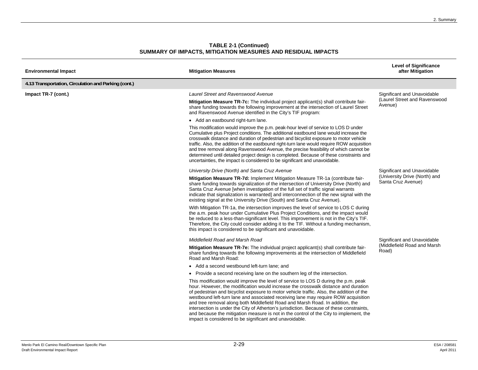| <b>Environmental Impact</b>                          | <b>Mitigation Measures</b>                                                                                                                                                                                                                                                                                                                                                                                                                                                                                                                                                                                                                                                                   | <b>Level of Significance</b><br>after Mitigation                        |
|------------------------------------------------------|----------------------------------------------------------------------------------------------------------------------------------------------------------------------------------------------------------------------------------------------------------------------------------------------------------------------------------------------------------------------------------------------------------------------------------------------------------------------------------------------------------------------------------------------------------------------------------------------------------------------------------------------------------------------------------------------|-------------------------------------------------------------------------|
| 4.13 Transportation, Circulation and Parking (cont.) |                                                                                                                                                                                                                                                                                                                                                                                                                                                                                                                                                                                                                                                                                              |                                                                         |
| Impact TR-7 (cont.)                                  | <b>Laurel Street and Ravenswood Avenue</b>                                                                                                                                                                                                                                                                                                                                                                                                                                                                                                                                                                                                                                                   | Significant and Unavoidable<br>(Laurel Street and Ravenswood<br>Avenue) |
|                                                      | <b>Mitigation Measure TR-7c:</b> The individual project applicant(s) shall contribute fair-<br>share funding towards the following improvement at the intersection of Laurel Street<br>and Ravenswood Avenue identified in the City's TIF program:                                                                                                                                                                                                                                                                                                                                                                                                                                           |                                                                         |
|                                                      | • Add an eastbound right-turn lane.                                                                                                                                                                                                                                                                                                                                                                                                                                                                                                                                                                                                                                                          |                                                                         |
|                                                      | This modification would improve the p.m. peak-hour level of service to LOS D under<br>Cumulative plus Project conditions. The additional eastbound lane would increase the<br>crosswalk distance and duration of pedestrian and bicyclist exposure to motor vehicle<br>traffic. Also, the addition of the eastbound right-turn lane would require ROW acquisition<br>and tree removal along Ravenswood Avenue, the precise feasibility of which cannot be<br>determined until detailed project design is completed. Because of these constraints and<br>uncertainties, the impact is considered to be significant and unavoidable.                                                           |                                                                         |
|                                                      | University Drive (North) and Santa Cruz Avenue                                                                                                                                                                                                                                                                                                                                                                                                                                                                                                                                                                                                                                               | Significant and Unavoidable                                             |
|                                                      | Mitigation Measure TR-7d: Implement Mitigation Measure TR-1a (contribute fair-<br>share funding towards signalization of the intersection of University Drive (North) and<br>Santa Cruz Avenue [when investigation of the full set of traffic signal warrants<br>indicate that signalization is warranted] and interconnection of the new signal with the<br>existing signal at the University Drive (South) and Santa Cruz Avenue).                                                                                                                                                                                                                                                         | (University Drive (North) and<br>Santa Cruz Avenue)                     |
|                                                      | With Mitigation TR-1a, the intersection improves the level of service to LOS C during<br>the a.m. peak hour under Cumulative Plus Project Conditions, and the impact would<br>be reduced to a less-than-significant level. This improvement is not in the City's TIF.<br>Therefore, the City could consider adding it to the TIF. Without a funding mechanism,<br>this impact is considered to be significant and unavoidable.                                                                                                                                                                                                                                                               |                                                                         |
|                                                      | Middlefield Road and Marsh Road                                                                                                                                                                                                                                                                                                                                                                                                                                                                                                                                                                                                                                                              | Significant and Unavoidable                                             |
|                                                      | Mitigation Measure TR-7e: The individual project applicant(s) shall contribute fair-<br>share funding towards the following improvements at the intersection of Middlefield<br>Road and Marsh Road:                                                                                                                                                                                                                                                                                                                                                                                                                                                                                          | (Middlefield Road and Marsh<br>Road)                                    |
|                                                      | • Add a second westbound left-turn lane; and                                                                                                                                                                                                                                                                                                                                                                                                                                                                                                                                                                                                                                                 |                                                                         |
|                                                      | • Provide a second receiving lane on the southern leg of the intersection.                                                                                                                                                                                                                                                                                                                                                                                                                                                                                                                                                                                                                   |                                                                         |
|                                                      | This modification would improve the level of service to LOS D during the p.m. peak<br>hour. However, the modification would increase the crosswalk distance and duration<br>of pedestrian and bicyclist exposure to motor vehicle traffic. Also, the addition of the<br>westbound left-turn lane and associated receiving lane may require ROW acquisition<br>and tree removal along both Middlefield Road and Marsh Road. In addition, the<br>intersection is under the City of Atherton's jurisdiction. Because of these constraints,<br>and because the mitigation measure is not in the control of the City to implement, the<br>impact is considered to be significant and unavoidable. |                                                                         |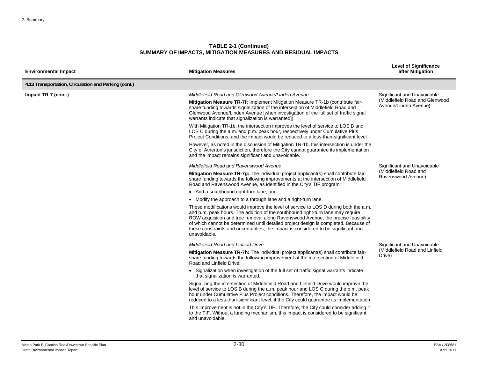| <b>Environmental Impact</b>                          | <b>Mitigation Measures</b>                                                                                                                                                                                                                                                                                                                                                                                                                                  | <b>Level of Significance</b><br>after Mitigation                                       |
|------------------------------------------------------|-------------------------------------------------------------------------------------------------------------------------------------------------------------------------------------------------------------------------------------------------------------------------------------------------------------------------------------------------------------------------------------------------------------------------------------------------------------|----------------------------------------------------------------------------------------|
| 4.13 Transportation, Circulation and Parking (cont.) |                                                                                                                                                                                                                                                                                                                                                                                                                                                             |                                                                                        |
| Impact TR-7 (cont.)                                  | Middlefield Road and Glenwood Avenue/Linden Avenue                                                                                                                                                                                                                                                                                                                                                                                                          | Significant and Unavoidable<br>(Middlefield Road and Glenwood<br>Avenue/Linden Avenue) |
|                                                      | Mitigation Measure TR-7f: Implement Mitigation Measure TR-1b (contribute fair-<br>share funding towards signalization of the intersection of Middlefield Road and<br>Glenwood Avenue/Linden Avenue [when investigation of the full set of traffic signal<br>warrants indicate that signalization is warranted]).                                                                                                                                            |                                                                                        |
|                                                      | With Mitigation TR-1b, the intersection improves the level of service to LOS B and<br>LOS C during the a.m. and p.m. peak hour, respectively under Cumulative Plus<br>Project Conditions, and the impact would be reduced to a less-than-significant level.                                                                                                                                                                                                 |                                                                                        |
|                                                      | However, as noted in the discussion of Mitigation TR-1b, this intersection is under the<br>City of Atherton's jurisdiction, therefore the City cannot guarantee its implementation<br>and the impact remains significant and unavoidable.                                                                                                                                                                                                                   |                                                                                        |
|                                                      | Middlefield Road and Ravenswood Avenue                                                                                                                                                                                                                                                                                                                                                                                                                      | Significant and Unavoidable                                                            |
|                                                      | Mitigation Measure TR-7g: The individual project applicant(s) shall contribute fair-<br>share funding towards the following improvements at the intersection of Middlefield<br>Road and Ravenswood Avenue, as identified in the City's TIF program:                                                                                                                                                                                                         | (Middlefield Road and<br>Ravenswood Avenue)                                            |
|                                                      | • Add a southbound right-turn lane; and                                                                                                                                                                                                                                                                                                                                                                                                                     |                                                                                        |
|                                                      | • Modify the approach to a through lane and a right-turn lane.                                                                                                                                                                                                                                                                                                                                                                                              |                                                                                        |
|                                                      | These modifications would improve the level of service to LOS D during both the a.m.<br>and p.m. peak hours. The addition of the southbound right-turn lane may require<br>ROW acquisition and tree removal along Ravenswood Avenue, the precise feasibility<br>of which cannot be determined until detailed project design is completed. Because of<br>these constraints and uncertainties, the impact is considered to be significant and<br>unavoidable. |                                                                                        |
|                                                      | <b>Middlefield Road and Linfield Drive</b>                                                                                                                                                                                                                                                                                                                                                                                                                  | Significant and Unavoidable                                                            |
|                                                      | Mitigation Measure TR-7h: The individual project applicant(s) shall contribute fair-<br>share funding towards the following improvement at the intersection of Middlefield<br>Road and Linfield Drive:                                                                                                                                                                                                                                                      | (Middlefield Road and Linfield<br>Drive)                                               |
|                                                      | • Signalization when investigation of the full set of traffic signal warrants indicate<br>that signalization is warranted.                                                                                                                                                                                                                                                                                                                                  |                                                                                        |
|                                                      | Signalizing the intersection of Middlefield Road and Linfield Drive would improve the<br>level of service to LOS B during the a.m. peak hour and LOS C during the p.m. peak<br>hour under Cumulative Plus Project conditions. Therefore, the impact would be<br>reduced to a less-than-significant level, if the City could guarantee its implementation.                                                                                                   |                                                                                        |
|                                                      | This improvement is not in the City's TIF. Therefore, the City could consider adding it<br>to the TIF. Without a funding mechanism, this impact is considered to be significant<br>and unavoidable.                                                                                                                                                                                                                                                         |                                                                                        |
|                                                      |                                                                                                                                                                                                                                                                                                                                                                                                                                                             |                                                                                        |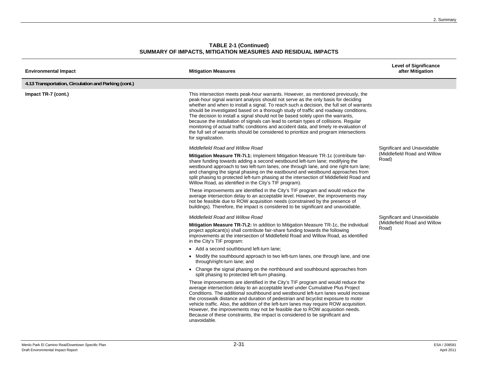| <b>Environmental Impact</b>                          | <b>Mitigation Measures</b>                                                                                                                                                                                                                                                                                                                                                                                                                                                                                                                                                                                                                                                                                                                   | <b>Level of Significance</b><br>after Mitigation                     |
|------------------------------------------------------|----------------------------------------------------------------------------------------------------------------------------------------------------------------------------------------------------------------------------------------------------------------------------------------------------------------------------------------------------------------------------------------------------------------------------------------------------------------------------------------------------------------------------------------------------------------------------------------------------------------------------------------------------------------------------------------------------------------------------------------------|----------------------------------------------------------------------|
| 4.13 Transportation, Circulation and Parking (cont.) |                                                                                                                                                                                                                                                                                                                                                                                                                                                                                                                                                                                                                                                                                                                                              |                                                                      |
| Impact TR-7 (cont.)                                  | This intersection meets peak-hour warrants. However, as mentioned previously, the<br>peak-hour signal warrant analysis should not serve as the only basis for deciding<br>whether and when to install a signal. To reach such a decision, the full set of warrants<br>should be investigated based on a thorough study of traffic and roadway conditions.<br>The decision to install a signal should not be based solely upon the warrants,<br>because the installation of signals can lead to certain types of collisions. Regular<br>monitoring of actual traffic conditions and accident data, and timely re-evaluation of<br>the full set of warrants should be considered to prioritize and program intersections<br>for signalization. |                                                                      |
|                                                      | Middlefield Road and Willow Road                                                                                                                                                                                                                                                                                                                                                                                                                                                                                                                                                                                                                                                                                                             | Significant and Unavoidable                                          |
|                                                      | Mitigation Measure TR-7i.1: Implement Mitigation Measure TR-1c (contribute fair-<br>share funding towards adding a second westbound left-turn lane; modifying the<br>westbound approach to two left-turn lanes, one through lane, and one right-turn lane;<br>and changing the signal phasing on the eastbound and westbound approaches from<br>split phasing to protected left-turn phasing at the intersection of Middlefield Road and<br>Willow Road, as identified in the City's TIF program).                                                                                                                                                                                                                                           | (Middlefield Road and Willow<br>Road)                                |
|                                                      | These improvements are identified in the City's TIF program and would reduce the<br>average intersection delay to an acceptable level. However, the improvements may<br>not be feasible due to ROW acquisition needs (constrained by the presence of<br>buildings). Therefore, the impact is considered to be significant and unavoidable.                                                                                                                                                                                                                                                                                                                                                                                                   |                                                                      |
|                                                      | Middlefield Road and Willow Road                                                                                                                                                                                                                                                                                                                                                                                                                                                                                                                                                                                                                                                                                                             | Significant and Unavoidable<br>(Middlefield Road and Willow<br>Road) |
|                                                      | Mitigation Measure TR-7i.2: In addition to Mitigation Measure TR-1c, the individual<br>project applicant(s) shall contribute fair-share funding towards the following<br>improvements at the intersection of Middlefield Road and Willow Road, as identified<br>in the City's TIF program:                                                                                                                                                                                                                                                                                                                                                                                                                                                   |                                                                      |
|                                                      | • Add a second southbound left-turn lane;                                                                                                                                                                                                                                                                                                                                                                                                                                                                                                                                                                                                                                                                                                    |                                                                      |
|                                                      | • Modify the southbound approach to two left-turn lanes, one through lane, and one<br>through/right-turn lane; and                                                                                                                                                                                                                                                                                                                                                                                                                                                                                                                                                                                                                           |                                                                      |
|                                                      | • Change the signal phasing on the northbound and southbound approaches from<br>split phasing to protected left-turn phasing.                                                                                                                                                                                                                                                                                                                                                                                                                                                                                                                                                                                                                |                                                                      |
|                                                      | These improvements are identified in the City's TIF program and would reduce the<br>average intersection delay to an acceptable level under Cumulative Plus Project<br>Conditions. The additional southbound and westbound left-turn lanes would increase<br>the crosswalk distance and duration of pedestrian and bicyclist exposure to motor<br>vehicle traffic. Also, the addition of the left-turn lanes may require ROW acquisition.<br>However, the improvements may not be feasible due to ROW acquisition needs.<br>Because of these constraints, the impact is considered to be significant and<br>unavoidable.                                                                                                                     |                                                                      |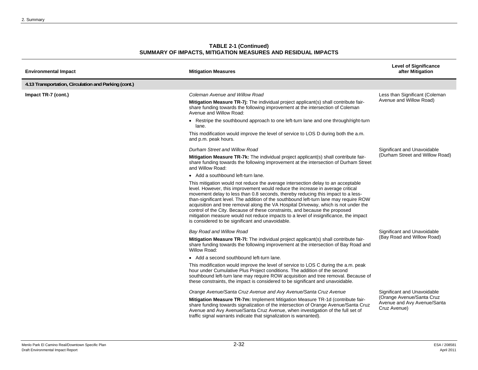| <b>Environmental Impact</b>                          | <b>Mitigation Measures</b>                                                                                                                                                                                                                                                                                                                                                                                                                                                                                                                                                                                                                                        | <b>Level of Significance</b><br>after Mitigation                         |
|------------------------------------------------------|-------------------------------------------------------------------------------------------------------------------------------------------------------------------------------------------------------------------------------------------------------------------------------------------------------------------------------------------------------------------------------------------------------------------------------------------------------------------------------------------------------------------------------------------------------------------------------------------------------------------------------------------------------------------|--------------------------------------------------------------------------|
| 4.13 Transportation, Circulation and Parking (cont.) |                                                                                                                                                                                                                                                                                                                                                                                                                                                                                                                                                                                                                                                                   |                                                                          |
| Impact TR-7 (cont.)                                  | Coleman Avenue and Willow Road                                                                                                                                                                                                                                                                                                                                                                                                                                                                                                                                                                                                                                    | Less than Significant (Coleman<br>Avenue and Willow Road)                |
|                                                      | Mitigation Measure TR-7j: The individual project applicant(s) shall contribute fair-<br>share funding towards the following improvement at the intersection of Coleman<br>Avenue and Willow Road:                                                                                                                                                                                                                                                                                                                                                                                                                                                                 |                                                                          |
|                                                      | • Restripe the southbound approach to one left-turn lane and one through/right-turn<br>lane.                                                                                                                                                                                                                                                                                                                                                                                                                                                                                                                                                                      |                                                                          |
|                                                      | This modification would improve the level of service to LOS D during both the a.m.<br>and p.m. peak hours.                                                                                                                                                                                                                                                                                                                                                                                                                                                                                                                                                        |                                                                          |
|                                                      | Durham Street and Willow Road                                                                                                                                                                                                                                                                                                                                                                                                                                                                                                                                                                                                                                     | Significant and Unavoidable                                              |
|                                                      | Mitigation Measure TR-7k: The individual project applicant(s) shall contribute fair-<br>share funding towards the following improvement at the intersection of Durham Street<br>and Willow Road:                                                                                                                                                                                                                                                                                                                                                                                                                                                                  | (Durham Street and Willow Road)                                          |
|                                                      | • Add a southbound left-turn lane.                                                                                                                                                                                                                                                                                                                                                                                                                                                                                                                                                                                                                                |                                                                          |
|                                                      | This mitigation would not reduce the average intersection delay to an acceptable<br>level. However, this improvement would reduce the increase in average critical<br>movement delay to less than 0.8 seconds, thereby reducing this impact to a less-<br>than-significant level. The addition of the southbound left-turn lane may require ROW<br>acquisition and tree removal along the VA Hospital Driveway, which is not under the<br>control of the City. Because of these constraints, and because the proposed<br>mitigation measure would not reduce impacts to a level of insignificance, the impact<br>is considered to be significant and unavoidable. |                                                                          |
|                                                      | Bay Road and Willow Road                                                                                                                                                                                                                                                                                                                                                                                                                                                                                                                                                                                                                                          | Significant and Unavoidable                                              |
|                                                      | Mitigation Measure TR-7I: The individual project applicant(s) shall contribute fair-<br>share funding towards the following improvement at the intersection of Bay Road and<br>Willow Road:                                                                                                                                                                                                                                                                                                                                                                                                                                                                       | (Bay Road and Willow Road)                                               |
|                                                      | • Add a second southbound left-turn lane.                                                                                                                                                                                                                                                                                                                                                                                                                                                                                                                                                                                                                         |                                                                          |
|                                                      | This modification would improve the level of service to LOS C during the a.m. peak<br>hour under Cumulative Plus Project conditions. The addition of the second<br>southbound left-turn lane may require ROW acquisition and tree removal. Because of<br>these constraints, the impact is considered to be significant and unavoidable.                                                                                                                                                                                                                                                                                                                           |                                                                          |
|                                                      | Orange Avenue/Santa Cruz Avenue and Avy Avenue/Santa Cruz Avenue                                                                                                                                                                                                                                                                                                                                                                                                                                                                                                                                                                                                  | Significant and Unavoidable                                              |
|                                                      | Mitigation Measure TR-7m: Implement Mitigation Measure TR-1d (contribute fair-<br>share funding towards signalization of the intersection of Orange Avenue/Santa Cruz<br>Avenue and Avy Avenue/Santa Cruz Avenue, when investigation of the full set of<br>traffic signal warrants indicate that signalization is warranted).                                                                                                                                                                                                                                                                                                                                     | (Orange Avenue/Santa Cruz<br>Avenue and Avy Avenue/Santa<br>Cruz Avenue) |